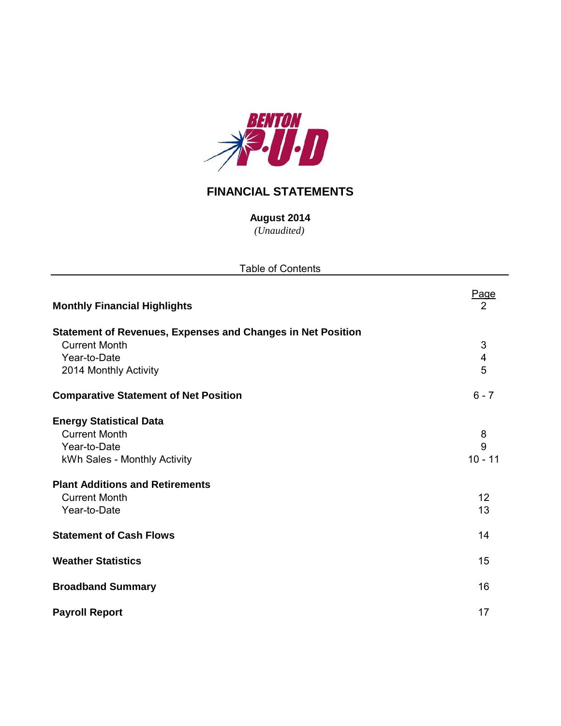

# **FINANCIAL STATEMENTS**

*(Unaudited)* **August 2014**

| <b>Table of Contents</b>                                           |                         |
|--------------------------------------------------------------------|-------------------------|
| <b>Monthly Financial Highlights</b>                                | Page<br>$\overline{2}$  |
| <b>Statement of Revenues, Expenses and Changes in Net Position</b> |                         |
| <b>Current Month</b>                                               | $\mathfrak{S}$          |
| Year-to-Date                                                       | $\overline{\mathbf{4}}$ |
| 2014 Monthly Activity                                              | 5                       |
| <b>Comparative Statement of Net Position</b>                       | $6 - 7$                 |
| <b>Energy Statistical Data</b>                                     |                         |
| <b>Current Month</b>                                               | 8                       |
| Year-to-Date                                                       | 9                       |
| kWh Sales - Monthly Activity                                       | $10 - 11$               |
| <b>Plant Additions and Retirements</b>                             |                         |
| <b>Current Month</b>                                               | 12                      |
| Year-to-Date                                                       | 13                      |
| <b>Statement of Cash Flows</b>                                     | 14                      |
| <b>Weather Statistics</b>                                          | 15                      |
| <b>Broadband Summary</b>                                           | 16                      |
|                                                                    |                         |

**Payroll Report** 17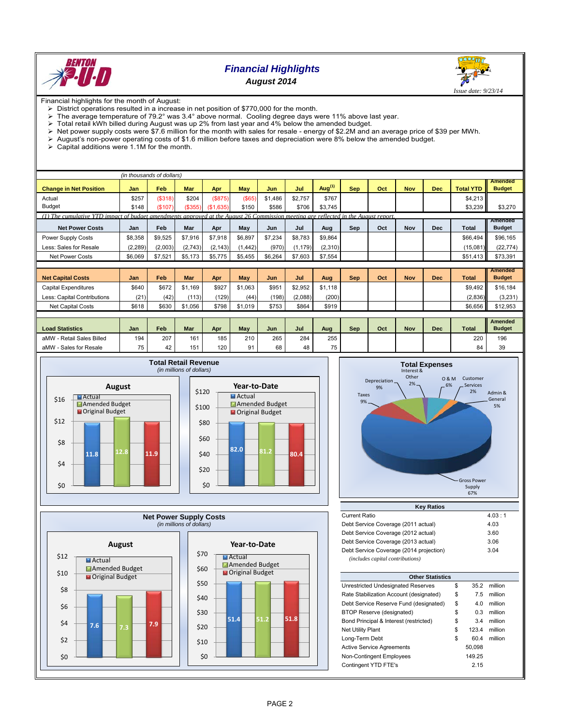

## *Financial Highlights August 2014*



Financial highlights for the month of August:

- $\triangleright$  District operations resulted in a increase in net position of \$770,000 for the month.<br> $\triangleright$  The average temperature of 79.2° was 3.4° above normal. Cooling degree days w
- The average temperature of 79.2° was 3.4° above normal. Cooling degree days were 11% above last year.

 $\triangleright$  Total retail kWh billed during August was up 2% from last year and 4% below the amended budget.

- Net power supply costs were \$7.6 million for the month with sales for resale energy of \$2.2M and an average price of \$39 per MWh.<br>> August's non-power operating costs of \$1.6 million before taxes and depreciation were 8
- August's non-power operating costs of \$1.6 million before taxes and depreciation were 8% below the amended budget.<br>
> Capital additions were 1.1M for the month.
- Capital additions were 1.1M for the month.

|                                                                                                                                     | (in thousands of dollars) |         |            |           |            |         |          |           |            |     |            |            |                  |                                 |
|-------------------------------------------------------------------------------------------------------------------------------------|---------------------------|---------|------------|-----------|------------|---------|----------|-----------|------------|-----|------------|------------|------------------|---------------------------------|
| <b>Change in Net Position</b>                                                                                                       | Jan                       | Feb     | <b>Mar</b> | Apr       | <b>May</b> | Jun     | Jul      | Aug $(1)$ | <b>Sep</b> | Oct | <b>Nov</b> | <b>Dec</b> | <b>Total YTD</b> | <b>Amended</b><br><b>Budget</b> |
| Actual                                                                                                                              | \$257                     | (\$318) | \$204      | (S875)    | (S65)      | \$1,486 | \$2,757  | \$767     |            |     |            |            | \$4,213          |                                 |
| <b>Budget</b>                                                                                                                       | \$148                     | (\$107) | (\$355)    | (\$1,635) | \$150      | \$586   | \$706    | \$3,745   |            |     |            |            | \$3,239          | \$3,270                         |
| (1) The cumulative YTD impact of budget amendments approved at the August 26 Commission meeting are reflected in the August report. |                           |         |            |           |            |         |          |           |            |     |            |            |                  |                                 |
| <b>Net Power Costs</b>                                                                                                              | Jan                       | Feb     | Mar        | Apr       | May        | Jun     | Jul      | Aug       | Sep        | Oct | Nov        | <b>Dec</b> | Total            | Amended<br><b>Budget</b>        |
| Power Supply Costs                                                                                                                  | \$8,358                   | \$9,525 | \$7,916    | \$7,918   | \$6,897    | \$7,234 | \$8,783  | \$9,864   |            |     |            |            | \$66,494         | \$96,165                        |
| Less: Sales for Resale                                                                                                              | (2, 289)                  | (2,003) | (2,743)    | (2, 143)  | (1, 442)   | (970)   | (1, 179) | (2,310)   |            |     |            |            | (15,081)         | (22, 774)                       |
| <b>Net Power Costs</b>                                                                                                              | \$6,069                   | \$7.521 | \$5,173    | \$5,775   | \$5.455    | \$6.264 | \$7,603  | \$7,554   |            |     |            |            | \$51,413         | \$73,391                        |
|                                                                                                                                     |                           |         |            |           |            |         |          |           |            |     |            |            |                  |                                 |
| <b>Net Capital Costs</b>                                                                                                            | Jan                       | Feb     | Mar        | Apr       | May        | Jun     | Jul      | Aug       | <b>Sep</b> | Oct | <b>Nov</b> | <b>Dec</b> | <b>Total</b>     | <b>Amended</b><br><b>Budget</b> |
| Capital Expenditures                                                                                                                | \$640                     | \$672   | \$1.169    | \$927     | \$1,063    | \$951   | \$2,952  | \$1,118   |            |     |            |            | \$9,492          | \$16,184                        |
| Less: Capital Contributions                                                                                                         | (21)                      | (42)    | (113)      | (129)     | (44)       | (198)   | (2,088)  | (200)     |            |     |            |            | (2,836)          | (3,231)                         |
| <b>Net Capital Costs</b>                                                                                                            | \$618                     | \$630   | \$1,056    | \$798     | \$1,019    | \$753   | \$864    | \$919     |            |     |            |            | \$6,656          | \$12,953                        |
|                                                                                                                                     |                           |         |            |           |            |         |          |           |            |     |            |            |                  |                                 |
| <b>Load Statistics</b>                                                                                                              | Jan                       | Feb     | Mar        | Apr       | May        | Jun     | Jul      | Aug       | Sep        | Oct | <b>Nov</b> | <b>Dec</b> | <b>Total</b>     | <b>Amended</b><br><b>Budget</b> |
| aMW - Retail Sales Billed                                                                                                           | 194                       | 207     | 161        | 185       | 210        | 265     | 284      | 255       |            |     |            |            | 220              | 196                             |
| aMW - Sales for Resale                                                                                                              | 75                        | 42      | 151        | 120       | 91         | 68      | 48       | 75        |            |     |            |            | 84               | 39                              |









| <b>Current Ratio</b>                    | 4.03 : 1 |
|-----------------------------------------|----------|
| Debt Service Coverage (2011 actual)     | 4.03     |
| Debt Service Coverage (2012 actual)     | 3.60     |
| Debt Service Coverage (2013 actual)     | 3.06     |
| Debt Service Coverage (2014 projection) | 3.04     |
| (includes capital contributions)        |          |

| <b>Other Statistics</b>                 |    |        |         |  |  |  |  |  |  |  |
|-----------------------------------------|----|--------|---------|--|--|--|--|--|--|--|
| Unrestricted Undesignated Reserves      | \$ | 35.2   | million |  |  |  |  |  |  |  |
| Rate Stabilization Account (designated) | \$ | 7.5    | million |  |  |  |  |  |  |  |
| Debt Service Reserve Fund (designated)  | \$ | 4.0    | million |  |  |  |  |  |  |  |
| BTOP Reserve (designated)               | \$ | 0.3    | million |  |  |  |  |  |  |  |
| Bond Principal & Interest (restricted)  | \$ | 3.4    | million |  |  |  |  |  |  |  |
| <b>Net Utility Plant</b>                | \$ | 123.4  | million |  |  |  |  |  |  |  |
| Long-Term Debt                          | \$ | 60.4   | million |  |  |  |  |  |  |  |
| <b>Active Service Agreements</b>        |    | 50,098 |         |  |  |  |  |  |  |  |
| Non-Contingent Employees                |    | 149.25 |         |  |  |  |  |  |  |  |
| Contingent YTD FTE's                    |    | 2.15   |         |  |  |  |  |  |  |  |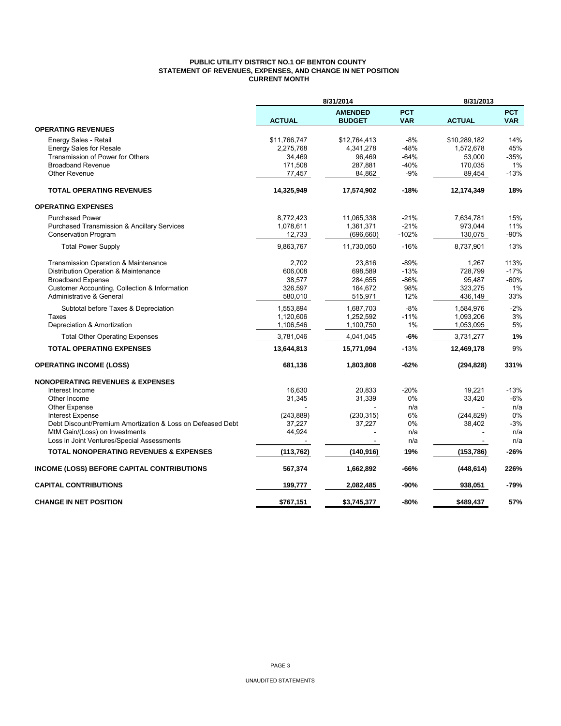### **PUBLIC UTILITY DISTRICT NO.1 OF BENTON COUNTY STATEMENT OF REVENUES, EXPENSES, AND CHANGE IN NET POSITION CURRENT MONTH**

|                                                                                       |                  | 8/31/2014                       |                          | 8/31/2013     |                          |  |
|---------------------------------------------------------------------------------------|------------------|---------------------------------|--------------------------|---------------|--------------------------|--|
|                                                                                       | <b>ACTUAL</b>    | <b>AMENDED</b><br><b>BUDGET</b> | <b>PCT</b><br><b>VAR</b> | <b>ACTUAL</b> | <b>PCT</b><br><b>VAR</b> |  |
| <b>OPERATING REVENUES</b>                                                             |                  |                                 |                          |               |                          |  |
| Energy Sales - Retail                                                                 | \$11,766,747     | \$12,764,413                    | -8%                      | \$10,289,182  | 14%                      |  |
| <b>Energy Sales for Resale</b>                                                        | 2,275,768        | 4,341,278                       | -48%                     | 1,572,678     | 45%                      |  |
| Transmission of Power for Others                                                      | 34,469           | 96.469                          | $-64%$                   | 53,000        | $-35%$                   |  |
| <b>Broadband Revenue</b>                                                              | 171,508          | 287,881                         | $-40%$                   | 170,035       | 1%                       |  |
| Other Revenue                                                                         | 77,457           | 84,862                          | $-9%$                    | 89,454        | $-13%$                   |  |
| <b>TOTAL OPERATING REVENUES</b>                                                       | 14,325,949       | 17,574,902                      | $-18%$                   | 12,174,349    | 18%                      |  |
| <b>OPERATING EXPENSES</b>                                                             |                  |                                 |                          |               |                          |  |
| <b>Purchased Power</b>                                                                | 8,772,423        | 11,065,338                      | $-21%$                   | 7.634.781     | 15%                      |  |
| <b>Purchased Transmission &amp; Ancillary Services</b>                                | 1,078,611        | 1,361,371                       | $-21%$                   | 973,044       | 11%                      |  |
| <b>Conservation Program</b>                                                           | 12,733           | (696, 660)                      | $-102%$                  | 130,075       | $-90%$                   |  |
| <b>Total Power Supply</b>                                                             | 9,863,767        | 11,730,050                      | $-16%$                   | 8,737,901     | 13%                      |  |
| Transmission Operation & Maintenance                                                  | 2,702            | 23,816                          | $-89%$                   | 1,267         | 113%                     |  |
| Distribution Operation & Maintenance                                                  | 606.008          | 698.589                         | $-13%$                   | 728.799       | $-17%$                   |  |
| <b>Broadband Expense</b>                                                              | 38,577           | 284,655                         | $-86%$                   | 95,487        | $-60%$                   |  |
| Customer Accounting, Collection & Information                                         | 326,597          | 164,672                         | 98%                      | 323,275       | 1%                       |  |
| Administrative & General                                                              | 580,010          | 515,971                         | 12%                      | 436,149       | 33%                      |  |
| Subtotal before Taxes & Depreciation                                                  | 1,553,894        | 1,687,703                       | $-8%$                    | 1,584,976     | $-2%$                    |  |
| Taxes                                                                                 | 1,120,606        | 1,252,592                       | $-11%$                   | 1,093,206     | 3%                       |  |
| Depreciation & Amortization                                                           | 1,106,546        | 1,100,750                       | 1%                       | 1,053,095     | 5%                       |  |
| <b>Total Other Operating Expenses</b>                                                 | 3,781,046        | 4,041,045                       | -6%                      | 3,731,277     | 1%                       |  |
| <b>TOTAL OPERATING EXPENSES</b>                                                       | 13,644,813       | 15,771,094                      | $-13%$                   | 12,469,178    | 9%                       |  |
| <b>OPERATING INCOME (LOSS)</b>                                                        | 681,136          | 1,803,808                       | -62%                     | (294, 828)    | 331%                     |  |
| <b>NONOPERATING REVENUES &amp; EXPENSES</b>                                           |                  |                                 |                          |               |                          |  |
| Interest Income                                                                       | 16,630           | 20.833                          | $-20%$                   | 19,221        | $-13%$                   |  |
| Other Income                                                                          | 31,345           | 31,339                          | 0%                       | 33,420        | $-6%$                    |  |
| Other Expense                                                                         |                  |                                 | n/a                      |               | n/a                      |  |
| <b>Interest Expense</b><br>Debt Discount/Premium Amortization & Loss on Defeased Debt | (243, 889)       | (230, 315)                      | 6%                       | (244, 829)    | 0%                       |  |
| MtM Gain/(Loss) on Investments                                                        | 37,227<br>44,924 | 37,227                          | 0%<br>n/a                | 38,402        | $-3%$<br>n/a             |  |
| Loss in Joint Ventures/Special Assessments                                            |                  |                                 | n/a                      |               | n/a                      |  |
| <b>TOTAL NONOPERATING REVENUES &amp; EXPENSES</b>                                     | (113, 762)       | (140, 916)                      | 19%                      | (153, 786)    | $-26%$                   |  |
|                                                                                       |                  |                                 |                          |               |                          |  |
| INCOME (LOSS) BEFORE CAPITAL CONTRIBUTIONS                                            | 567,374          | 1,662,892                       | -66%                     | (448, 614)    | 226%                     |  |
| <b>CAPITAL CONTRIBUTIONS</b>                                                          | 199,777          | 2,082,485                       | -90%                     | 938,051       | -79%                     |  |
| <b>CHANGE IN NET POSITION</b>                                                         | \$767,151        | \$3,745,377                     | -80%                     | \$489,437     | 57%                      |  |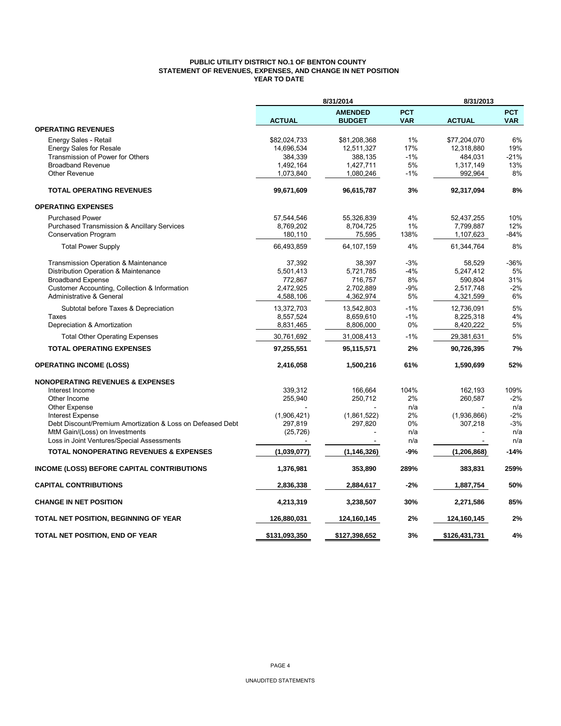### **PUBLIC UTILITY DISTRICT NO.1 OF BENTON COUNTY STATEMENT OF REVENUES, EXPENSES, AND CHANGE IN NET POSITION YEAR TO DATE**

|                                                            |               | 8/31/2014                       |                          | 8/31/2013     |                          |  |
|------------------------------------------------------------|---------------|---------------------------------|--------------------------|---------------|--------------------------|--|
|                                                            | <b>ACTUAL</b> | <b>AMENDED</b><br><b>BUDGET</b> | <b>PCT</b><br><b>VAR</b> | <b>ACTUAL</b> | <b>PCT</b><br><b>VAR</b> |  |
| <b>OPERATING REVENUES</b>                                  |               |                                 |                          |               |                          |  |
| Energy Sales - Retail                                      | \$82,024,733  | \$81,208,368                    | 1%                       | \$77,204,070  | 6%                       |  |
| <b>Energy Sales for Resale</b>                             | 14,696,534    | 12,511,327                      | 17%                      | 12,318,880    | 19%                      |  |
| Transmission of Power for Others                           | 384,339       | 388,135                         | $-1%$                    | 484,031       | $-21%$                   |  |
| <b>Broadband Revenue</b>                                   | 1,492,164     | 1,427,711                       | 5%                       | 1,317,149     | 13%                      |  |
| <b>Other Revenue</b>                                       | 1,073,840     | 1,080,246                       | $-1%$                    | 992,964       | 8%                       |  |
| <b>TOTAL OPERATING REVENUES</b>                            | 99,671,609    | 96,615,787                      | 3%                       | 92,317,094    | 8%                       |  |
| <b>OPERATING EXPENSES</b>                                  |               |                                 |                          |               |                          |  |
| <b>Purchased Power</b>                                     | 57,544,546    | 55,326,839                      | 4%                       | 52,437,255    | 10%                      |  |
| <b>Purchased Transmission &amp; Ancillary Services</b>     | 8,769,202     | 8,704,725                       | 1%                       | 7,799,887     | 12%                      |  |
| Conservation Program                                       | 180,110       | 75,595                          | 138%                     | 1,107,623     | $-84%$                   |  |
| <b>Total Power Supply</b>                                  | 66,493,859    | 64,107,159                      | 4%                       | 61,344,764    | 8%                       |  |
| Transmission Operation & Maintenance                       | 37,392        | 38,397                          | $-3%$                    | 58,529        | $-36%$                   |  |
| Distribution Operation & Maintenance                       | 5,501,413     | 5,721,785                       | $-4%$                    | 5,247,412     | 5%                       |  |
| <b>Broadband Expense</b>                                   | 772,867       | 716,757                         | 8%                       | 590,804       | 31%                      |  |
| Customer Accounting, Collection & Information              | 2.472.925     | 2,702,889                       | $-9%$                    | 2,517,748     | $-2%$                    |  |
| Administrative & General                                   | 4,588,106     | 4,362,974                       | 5%                       | 4,321,599     | 6%                       |  |
| Subtotal before Taxes & Depreciation                       | 13,372,703    | 13,542,803                      | $-1%$                    | 12,736,091    | 5%                       |  |
| Taxes                                                      | 8,557,524     | 8,659,610                       | $-1%$                    | 8,225,318     | 4%                       |  |
| Depreciation & Amortization                                | 8,831,465     | 8,806,000                       | 0%                       | 8,420,222     | 5%                       |  |
| <b>Total Other Operating Expenses</b>                      | 30,761,692    | 31,008,413                      | $-1%$                    | 29,381,631    | 5%                       |  |
| <b>TOTAL OPERATING EXPENSES</b>                            | 97,255,551    | 95,115,571                      | 2%                       | 90,726,395    | 7%                       |  |
| <b>OPERATING INCOME (LOSS)</b>                             | 2,416,058     | 1,500,216                       | 61%                      | 1,590,699     | 52%                      |  |
| <b>NONOPERATING REVENUES &amp; EXPENSES</b>                |               |                                 |                          |               |                          |  |
| Interest Income                                            | 339,312       | 166,664                         | 104%                     | 162,193       | 109%                     |  |
| Other Income                                               | 255,940       | 250,712                         | 2%                       | 260,587       | $-2%$                    |  |
| Other Expense                                              |               |                                 | n/a                      |               | n/a                      |  |
| <b>Interest Expense</b>                                    | (1,906,421)   | (1,861,522)                     | 2%                       | (1,936,866)   | $-2%$                    |  |
| Debt Discount/Premium Amortization & Loss on Defeased Debt | 297,819       | 297,820                         | 0%                       | 307,218       | $-3%$                    |  |
| MtM Gain/(Loss) on Investments                             | (25, 726)     |                                 | n/a                      |               | n/a                      |  |
| Loss in Joint Ventures/Special Assessments                 |               |                                 | n/a                      |               | n/a                      |  |
| <b>TOTAL NONOPERATING REVENUES &amp; EXPENSES</b>          | (1,039,077)   | (1, 146, 326)                   | $-9%$                    | (1, 206, 868) | $-14%$                   |  |
| <b>INCOME (LOSS) BEFORE CAPITAL CONTRIBUTIONS</b>          | 1,376,981     | 353,890                         | 289%                     | 383,831       | 259%                     |  |
| <b>CAPITAL CONTRIBUTIONS</b>                               | 2,836,338     | 2,884,617                       | -2%                      | 1,887,754     | 50%                      |  |
| <b>CHANGE IN NET POSITION</b>                              | 4,213,319     | 3,238,507                       | 30%                      | 2,271,586     | 85%                      |  |
| TOTAL NET POSITION, BEGINNING OF YEAR                      | 126,880,031   | 124,160,145                     | 2%                       | 124,160,145   | 2%                       |  |
| TOTAL NET POSITION, END OF YEAR                            | \$131,093,350 | \$127,398,652                   | 3%                       | \$126,431,731 | 4%                       |  |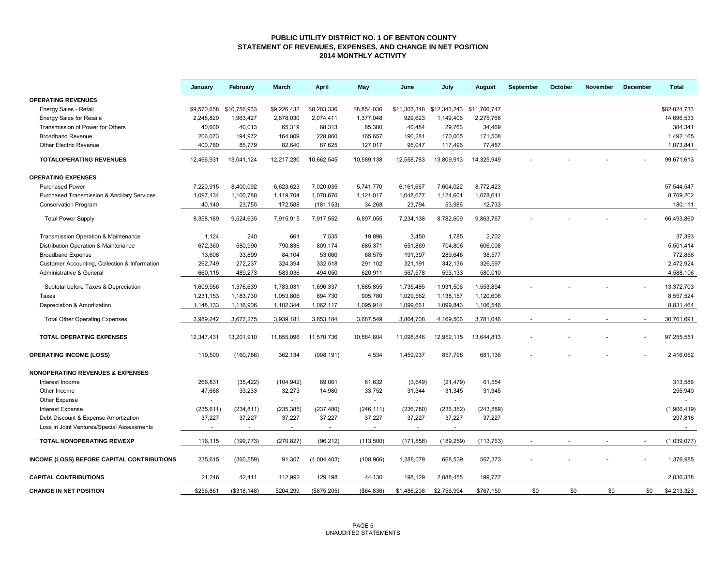#### **PUBLIC UTILITY DISTRICT NO. 1 OF BENTON COUNTY STATEMENT OF REVENUES, EXPENSES, AND CHANGE IN NET POSITION 2014 MONTHLY ACTIVITY**

|                                                        | January     | February     | March          | April       | May          | June         | July                      | August     | September | October | <b>November</b> | December | <b>Total</b>   |
|--------------------------------------------------------|-------------|--------------|----------------|-------------|--------------|--------------|---------------------------|------------|-----------|---------|-----------------|----------|----------------|
| <b>OPERATING REVENUES</b>                              |             |              |                |             |              |              |                           |            |           |         |                 |          |                |
| Energy Sales - Retail                                  | \$9,570,658 | \$10,756,933 | \$9,226,432    | \$8,203,336 | \$8,854,036  | \$11,303,348 | \$12,343,243 \$11,766,747 |            |           |         |                 |          | \$82.024.733   |
| <b>Energy Sales for Resale</b>                         | 2,248,820   | 1,963,427    | 2,678,030      | 2,074,411   | 1,377,048    | 929,623      | 1,149,406                 | 2,275,768  |           |         |                 |          | 14,696,533     |
| Transmission of Power for Others                       | 40,600      | 40,013       | 65,319         | 68,313      | 65,380       | 40,484       | 29,763                    | 34,469     |           |         |                 |          | 384,341        |
| <b>Broadband Revenue</b>                               | 206,073     | 194,972      | 164,809        | 228,860     | 165,657      | 190,281      | 170,005                   | 171,508    |           |         |                 |          | 1,492,165      |
| Other Electric Revenue                                 | 400,780     | 85,779       | 82,640         | 87,625      | 127,017      | 95,047       | 117,496                   | 77,457     |           |         |                 |          | 1,073,841      |
| <b>TOTALOPERATING REVENUES</b>                         | 12,466,931  | 13,041,124   | 12,217,230     | 10,662,545  | 10,589,138   | 12,558,783   | 13,809,913                | 14,325,949 |           |         |                 |          | 99,671,613     |
| <b>OPERATING EXPENSES</b>                              |             |              |                |             |              |              |                           |            |           |         |                 |          |                |
| <b>Purchased Power</b>                                 | 7,220,915   | 8,400,092    | 6,623,623      | 7,020,035   | 5,741,770    | 6,161,667    | 7,604,022                 | 8,772,423  |           |         |                 |          | 57,544,547     |
| <b>Purchased Transmission &amp; Ancillary Services</b> | 1,097,134   | 1,100,788    | 1,119,704      | 1,078,670   | 1,121,017    | 1,048,677    | 1,124,601                 | 1,078,611  |           |         |                 |          | 8,769,202      |
| <b>Conservation Program</b>                            | 40,140      | 23,755       | 172,588        | (181, 153)  | 34,268       | 23,794       | 53,986                    | 12,733     |           |         |                 |          | 180,111        |
| <b>Total Power Supply</b>                              | 8,358,189   | 9,524,635    | 7,915,915      | 7,917,552   | 6,897,055    | 7,234,138    | 8,782,609                 | 9,863,767  |           |         |                 |          | 66,493,860     |
| Transmission Operation & Maintenance                   | 1,124       | 240          | 661            | 7,535       | 19,896       | 3,450        | 1,785                     | 2.702      |           |         |                 |          | 37,393         |
| Distribution Operation & Maintenance                   | 672,360     | 580,990      | 790,836        | 809,174     | 685,371      | 651,869      | 704,806                   | 606,008    |           |         |                 |          | 5,501,414      |
| <b>Broadband Expense</b>                               | 13,608      | 33,899       | 84,104         | 53,060      | 68,575       | 191,397      | 289,646                   | 38,577     |           |         |                 |          | 772,866        |
| Customer Accounting, Collection & Information          | 262,749     | 272,237      | 324,394        | 332,518     | 291,102      | 321,191      | 342,136                   | 326,597    |           |         |                 |          | 2,472,924      |
| Administrative & General                               | 660,115     | 489,273      | 583,036        | 494,050     | 620,911      | 567,578      | 593,133                   | 580,010    |           |         |                 |          | 4,588,106      |
|                                                        |             |              |                |             |              |              |                           |            |           |         |                 |          |                |
| Subtotal before Taxes & Depreciation                   | 1,609,956   | 1,376,639    | 1,783,031      | 1,696,337   | 1,685,855    | 1,735,485    | 1,931,506                 | 1,553,894  |           |         |                 |          | 13,372,703     |
| Taxes                                                  | 1,231,153   | 1,183,730    | 1,053,806      | 894,730     | 905,780      | 1,029,562    | 1,138,157                 | 1,120,606  |           |         |                 |          | 8,557,524      |
| Depreciation & Amortization                            | 1,148,133   | 1,116,906    | 1,102,344      | 1,062,117   | 1,095,914    | 1,099,661    | 1,099,843                 | 1,106,546  |           |         |                 |          | 8,831,464      |
| <b>Total Other Operating Expenses</b>                  | 3,989,242   | 3,677,275    | 3,939,181      | 3,653,184   | 3,687,549    | 3,864,708    | 4,169,506                 | 3,781,046  |           |         |                 |          | 30,761,691     |
| <b>TOTAL OPERATING EXPENSES</b>                        | 12,347,431  | 13,201,910   | 11,855,096     | 11,570,736  | 10,584,604   | 11,098,846   | 12,952,115                | 13,644,813 |           |         |                 |          | 97,255,551     |
| <b>OPERATING INCOME (LOSS)</b>                         | 119,500     | (160, 786)   | 362,134        | (908, 191)  | 4,534        | 1,459,937    | 857,798                   | 681,136    |           |         |                 |          | 2,416,062      |
| <b>NONOPERATING REVENUES &amp; EXPENSES</b>            |             |              |                |             |              |              |                           |            |           |         |                 |          |                |
| Interest Income                                        | 266,831     | (35, 422)    | (104, 942)     | 89,061      | 61,632       | (3,649)      | (21, 479)                 | 61,554     |           |         |                 |          | 313,586        |
| Other Income                                           | 47,668      | 33,233       | 32,273         | 14,980      | 33,752       | 31,344       | 31,345                    | 31,345     |           |         |                 |          | 255,940        |
| Other Expense                                          |             |              | $\sim$         | $\sim$      |              | $\sim$       | $\sim$                    |            |           |         |                 |          |                |
| <b>Interest Expense</b>                                | (235, 611)  | (234, 811)   | (235, 385)     | (237, 480)  | (246, 111)   | (236, 780)   | (236, 352)                | (243, 889) |           |         |                 |          | (1,906,419)    |
| Debt Discount & Expense Amortization                   | 37,227      | 37,227       | 37,227         | 37,227      | 37,227       | 37,227       | 37,227                    | 37,227     |           |         |                 |          | 297,816        |
| Loss in Joint Ventures/Special Assessments             |             |              | $\blacksquare$ | $\sim$      |              |              |                           |            |           |         |                 |          | $\blacksquare$ |
| <b>TOTAL NONOPERATING REV/EXP</b>                      | 116,115     | (199, 773)   | (270, 827)     | (96, 212)   | (113,500)    | (171, 858)   | (189, 259)                | (113, 763) |           |         |                 |          | (1,039,077)    |
| INCOME (LOSS) BEFORE CAPITAL CONTRIBUTIONS             | 235,615     | (360, 559)   | 91,307         | (1,004,403) | (108, 966)   | 1,288,079    | 668,539                   | 567,373    |           |         |                 |          | 1,376,985      |
| <b>CAPITAL CONTRIBUTIONS</b>                           | 21,246      | 42,411       | 112,992        | 129,198     | 44,130       | 198,129      | 2,088,455                 | 199,777    |           |         |                 |          | 2,836,338      |
| <b>CHANGE IN NET POSITION</b>                          | \$256,861   | (\$318, 148) | \$204,299      | (\$875,205) | ( \$64, 836) | \$1,486,208  | \$2,756.994               | \$767.150  | \$0       | \$0     | \$0             | \$0      | \$4,213,323    |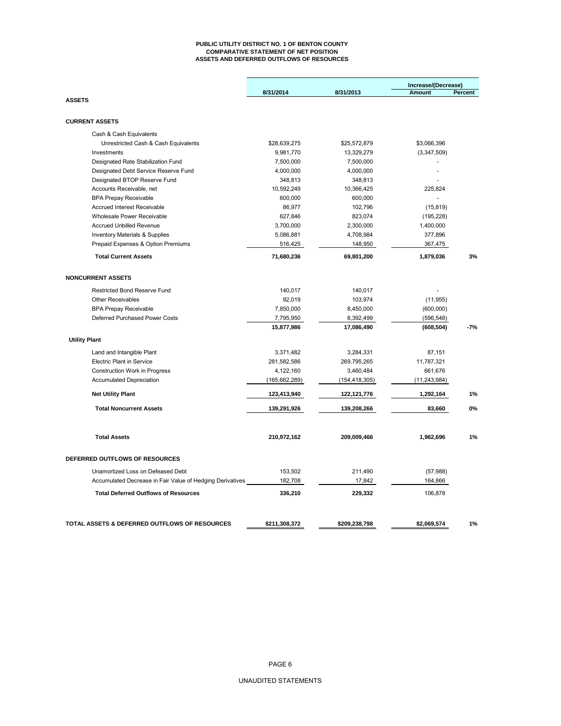#### **PUBLIC UTILITY DISTRICT NO. 1 OF BENTON COUNTY COMPARATIVE STATEMENT OF NET POSITION ASSETS AND DEFERRED OUTFLOWS OF RESOURCES**

|                                                                      |                                                      | Increase/(Decrease)                                  |                                           |
|----------------------------------------------------------------------|------------------------------------------------------|------------------------------------------------------|-------------------------------------------|
|                                                                      |                                                      |                                                      | Percent                                   |
|                                                                      |                                                      |                                                      |                                           |
|                                                                      |                                                      |                                                      |                                           |
| \$28,639,275                                                         | \$25,572,879                                         | \$3,066,396                                          |                                           |
| 9,981,770                                                            | 13,329,279                                           | (3,347,509)                                          |                                           |
| 7,500,000                                                            | 7,500,000                                            |                                                      |                                           |
| 4,000,000                                                            | 4,000,000                                            | $\overline{a}$                                       |                                           |
| 348,813                                                              | 348,813                                              |                                                      |                                           |
| 10,592,249                                                           | 10,366,425                                           | 225,824                                              |                                           |
| 600,000                                                              | 600,000                                              | $\sim$                                               |                                           |
| 86,977                                                               | 102,796                                              | (15, 819)                                            |                                           |
| 627,846                                                              | 823,074                                              | (195, 228)                                           |                                           |
| 3,700,000                                                            | 2,300,000                                            | 1,400,000                                            |                                           |
| 5,086,881                                                            | 4,708,984                                            | 377,896                                              |                                           |
| 516,425                                                              | 148,950                                              | 367,475                                              |                                           |
| 71,680,236                                                           | 69,801,200                                           | 1,879,036                                            | 3%                                        |
|                                                                      |                                                      |                                                      |                                           |
|                                                                      |                                                      |                                                      |                                           |
| 92,019                                                               | 103,974                                              | (11, 955)                                            |                                           |
| 7,850,000                                                            | 8,450,000                                            | (600,000)                                            |                                           |
| 7,795,950                                                            | 8,392,499                                            | (596, 548)                                           |                                           |
| 15,877,986                                                           | 17,086,490                                           | (608, 504)                                           | $-7%$                                     |
|                                                                      |                                                      |                                                      |                                           |
| 3,371,482                                                            | 3,284,331                                            | 87,151                                               |                                           |
| 281,582,586                                                          | 269,795,265                                          | 11,787,321                                           |                                           |
| 4,122,160                                                            | 3,460,484                                            | 661,676                                              |                                           |
| (165, 662, 289)                                                      | (154, 418, 305)                                      | (11, 243, 984)                                       |                                           |
| 123,413,940                                                          | 122, 121, 776                                        | 1,292,164                                            | 1%                                        |
| 139,291,926                                                          | 139,208,266                                          | 83,660                                               | $0\%$                                     |
|                                                                      |                                                      |                                                      | 1%                                        |
|                                                                      |                                                      |                                                      |                                           |
|                                                                      |                                                      |                                                      |                                           |
| 153,502                                                              | 211,490                                              | (57, 988)                                            |                                           |
| Accumulated Decrease in Fair Value of Hedging Derivatives<br>182,708 | 17,842                                               | 164,866                                              |                                           |
| 336,210                                                              | 229,332                                              | 106,878                                              |                                           |
|                                                                      |                                                      |                                                      | 1%                                        |
|                                                                      | 8/31/2014<br>140,017<br>210,972,162<br>\$211,308,372 | 8/31/2013<br>140,017<br>209,009,466<br>\$209,238,798 | <b>Amount</b><br>1,962,696<br>\$2,069,574 |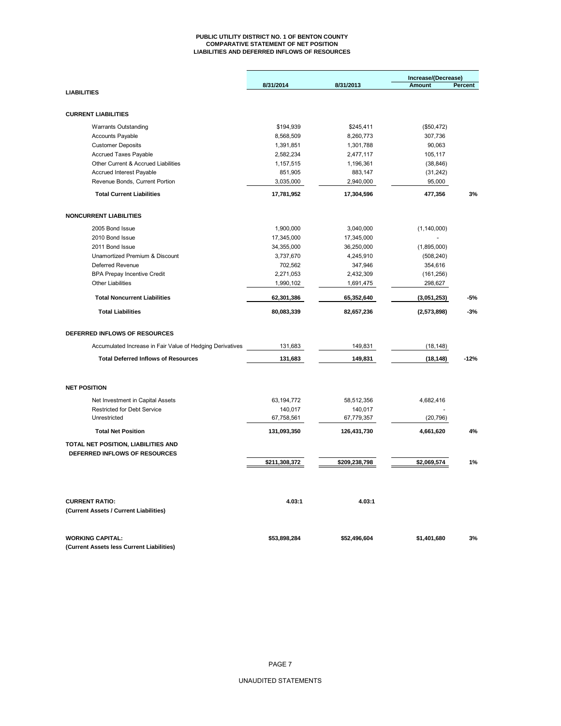#### **PUBLIC UTILITY DISTRICT NO. 1 OF BENTON COUNTY COMPARATIVE STATEMENT OF NET POSITION LIABILITIES AND DEFERRED INFLOWS OF RESOURCES**

|                                                                      |               |               | Increase/(Decrease) |                |
|----------------------------------------------------------------------|---------------|---------------|---------------------|----------------|
|                                                                      | 8/31/2014     | 8/31/2013     | Amount              | <b>Percent</b> |
| <b>LIABILITIES</b>                                                   |               |               |                     |                |
| <b>CURRENT LIABILITIES</b>                                           |               |               |                     |                |
| <b>Warrants Outstanding</b>                                          | \$194,939     | \$245,411     | (\$50,472)          |                |
| <b>Accounts Payable</b>                                              | 8,568,509     | 8,260,773     | 307,736             |                |
| <b>Customer Deposits</b>                                             | 1,391,851     | 1,301,788     | 90,063              |                |
| <b>Accrued Taxes Payable</b>                                         | 2,582,234     | 2,477,117     | 105,117             |                |
| Other Current & Accrued Liabilities                                  | 1,157,515     | 1,196,361     | (38, 846)           |                |
| <b>Accrued Interest Payable</b>                                      | 851,905       | 883,147       | (31, 242)           |                |
| Revenue Bonds, Current Portion                                       | 3,035,000     | 2,940,000     | 95,000              |                |
| <b>Total Current Liabilities</b>                                     | 17,781,952    | 17,304,596    | 477,356             | 3%             |
| <b>NONCURRENT LIABILITIES</b>                                        |               |               |                     |                |
| 2005 Bond Issue                                                      | 1,900,000     | 3,040,000     | (1, 140, 000)       |                |
| 2010 Bond Issue                                                      | 17,345,000    | 17,345,000    |                     |                |
| 2011 Bond Issue                                                      | 34,355,000    | 36,250,000    | (1,895,000)         |                |
| Unamortized Premium & Discount                                       | 3,737,670     | 4,245,910     | (508, 240)          |                |
| <b>Deferred Revenue</b>                                              | 702,562       | 347,946       | 354,616             |                |
| <b>BPA Prepay Incentive Credit</b>                                   | 2,271,053     | 2,432,309     | (161, 256)          |                |
| <b>Other Liabilities</b>                                             | 1,990,102     | 1,691,475     | 298,627             |                |
| <b>Total Noncurrent Liabilities</b>                                  | 62,301,386    | 65,352,640    | (3,051,253)         | -5%            |
| <b>Total Liabilities</b>                                             | 80,083,339    | 82,657,236    | (2,573,898)         | $-3%$          |
| DEFERRED INFLOWS OF RESOURCES                                        |               |               |                     |                |
| Accumulated Increase in Fair Value of Hedging Derivatives            | 131,683       | 149,831       | (18, 148)           |                |
| <b>Total Deferred Inflows of Resources</b>                           | 131,683       | 149,831       | (18, 148)           | $-12%$         |
| <b>NET POSITION</b>                                                  |               |               |                     |                |
| Net Investment in Capital Assets                                     | 63,194,772    | 58,512,356    | 4,682,416           |                |
| <b>Restricted for Debt Service</b>                                   | 140,017       | 140,017       |                     |                |
| Unrestricted                                                         | 67,758,561    | 67,779,357    | (20, 796)           |                |
| <b>Total Net Position</b>                                            | 131,093,350   | 126,431,730   | 4,661,620           | 4%             |
| TOTAL NET POSITION, LIABILITIES AND                                  |               |               |                     |                |
| DEFERRED INFLOWS OF RESOURCES                                        |               |               |                     |                |
|                                                                      | \$211,308,372 | \$209,238,798 | \$2,069,574         | 1%             |
|                                                                      |               |               |                     |                |
| <b>CURRENT RATIO:</b><br>(Current Assets / Current Liabilities)      | 4.03:1        | 4.03:1        |                     |                |
| <b>WORKING CAPITAL:</b><br>(Current Assets less Current Liabilities) | \$53,898,284  | \$52,496,604  | \$1,401,680         | 3%             |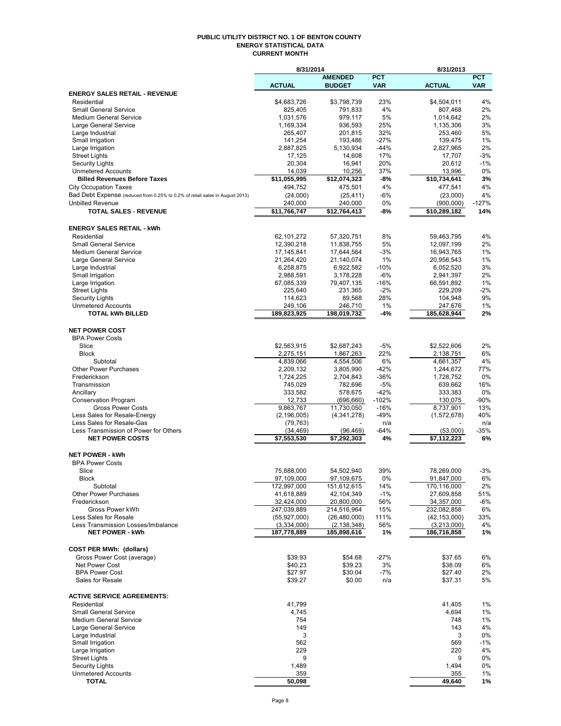#### **PUBLIC UTILITY DISTRICT NO. 1 OF BENTON COUNTY ENERGY STATISTICAL DATA CURRENT MONTH**

|                                                                              | 8/31/2014                 |                          |               | 8/31/2013                |               |  |
|------------------------------------------------------------------------------|---------------------------|--------------------------|---------------|--------------------------|---------------|--|
|                                                                              |                           | <b>AMENDED</b>           | <b>PCT</b>    |                          | <b>PCT</b>    |  |
|                                                                              | <b>ACTUAL</b>             | <b>BUDGET</b>            | <b>VAR</b>    | <b>ACTUAL</b>            | <b>VAR</b>    |  |
| <b>ENERGY SALES RETAIL - REVENUE</b><br>Residential                          | \$4,683,726               | \$3,798,739              | 23%           | \$4,504,011              | 4%            |  |
| <b>Small General Service</b>                                                 | 825,405                   | 791,833                  | 4%            | 807,468                  | 2%            |  |
| <b>Medium General Service</b>                                                | 1,031,576                 | 979,117                  | 5%            | 1,014,642                | 2%            |  |
| Large General Service                                                        | 1,169,334                 | 936,593                  | 25%           | 1,135,306                | 3%            |  |
| Large Industrial                                                             | 265,407                   | 201,815                  | 32%           | 253,460                  | 5%            |  |
| Small Irrigation                                                             | 141,254                   | 193,486                  | $-27%$        | 139,475                  | 1%            |  |
| Large Irrigation                                                             | 2,887,825                 | 5,130,934                | $-44%$        | 2,827,965                | 2%            |  |
| <b>Street Lights</b>                                                         | 17,125                    | 14,608                   | 17%           | 17,707                   | $-3%$         |  |
| <b>Security Lights</b><br><b>Unmetered Accounts</b>                          | 20,304<br>14,039          | 16,941<br>10,256         | 20%<br>37%    | 20,612<br>13,996         | $-1%$<br>0%   |  |
| <b>Billed Revenues Before Taxes</b>                                          | \$11.055.995              | \$12,074,323             | -8%           | \$10.734.641             | 3%            |  |
| <b>City Occupation Taxes</b>                                                 | 494,752                   | 475,501                  | 4%            | 477,541                  | 4%            |  |
| Bad Debt Expense (reduced from 0.25% to 0.2% of retail sales in August 2013) | (24,000)                  | (25, 411)                | $-6%$         | (23,000)                 | 4%            |  |
| <b>Unbilled Revenue</b>                                                      | 240,000                   | 240,000                  | 0%            | (900, 000)               | $-127%$       |  |
| <b>TOTAL SALES - REVENUE</b>                                                 | \$11,766,747              | \$12,764,413             | -8%           | \$10,289,182             | 14%           |  |
| <b>ENERGY SALES RETAIL - kWh</b>                                             |                           |                          |               |                          |               |  |
| Residential                                                                  | 62,101,272                | 57,320,751               | 8%            | 59,463,795               | 4%            |  |
| <b>Small General Service</b>                                                 | 12,390,218                | 11,838,755               | 5%            | 12,097,199               | 2%            |  |
| <b>Medium General Service</b>                                                | 17, 145, 841              | 17,644,564               | $-3%$         | 16,943,765               | 1%            |  |
| Large General Service<br>Large Industrial                                    | 21,264,420<br>6,258,875   | 21,140,074<br>6,922,582  | 1%<br>$-10%$  | 20,956,543<br>6,052,520  | 1%<br>3%      |  |
| Small Irrigation                                                             | 2,988,591                 | 3,178,228                | $-6%$         | 2,941,397                | 2%            |  |
| Large Irrigation                                                             | 67,085,339                | 79,407,135               | $-16%$        | 66,591,892               | 1%            |  |
| <b>Street Lights</b>                                                         | 225,640                   | 231,365                  | $-2%$         | 229.209                  | $-2%$         |  |
| <b>Security Lights</b>                                                       | 114,623                   | 89.568                   | 28%           | 104,948                  | 9%            |  |
| <b>Unmetered Accounts</b>                                                    | 249,106                   | 246,710                  | 1%            | 247,676                  | 1%            |  |
| <b>TOTAL kWh BILLED</b>                                                      | 189,823,925               | 198,019,732              | -4%           | 185,628,944              | 2%            |  |
| <b>NET POWER COST</b>                                                        |                           |                          |               |                          |               |  |
| <b>BPA Power Costs</b>                                                       |                           |                          |               |                          |               |  |
| Slice<br><b>Block</b>                                                        | \$2,563,915<br>2,275,151  | \$2,687,243              | $-5%$<br>22%  | \$2,522,606              | 2%<br>6%      |  |
| Subtotal                                                                     | 4,839,066                 | 1,867,263<br>4,554,506   | 6%            | 2,138,751<br>4,661,357   | 4%            |  |
| <b>Other Power Purchases</b>                                                 | 2,209,132                 | 3,805,990                | $-42%$        | 1,244,672                | 77%           |  |
| Frederickson                                                                 | 1,724,225                 | 2,704,843                | $-36%$        | 1,728,752                | 0%            |  |
| Transmission                                                                 | 745,029                   | 782,696                  | $-5%$         | 639,662                  | 16%           |  |
| Ancillary                                                                    | 333,582                   | 578,675                  | $-42%$        | 333,383                  | 0%            |  |
| <b>Conservation Program</b>                                                  | 12,733                    | (696, 660)               | $-102%$       | 130,075                  | -90%          |  |
| <b>Gross Power Costs</b>                                                     | 9,863,767                 | 11,730,050               | $-16%$        | 8,737,901                | 13%           |  |
| Less Sales for Resale-Energy                                                 | (2, 196, 005)             | (4,341,278)              | $-49%$        | (1,572,678)              | 40%           |  |
| Less Sales for Resale-Gas<br>Less Transmission of Power for Others           | (79, 763)<br>(34, 469)    | (96, 469)                | n/a<br>$-64%$ | (53,000)                 | n/a<br>$-35%$ |  |
| <b>NET POWER COSTS</b>                                                       | $\overline{57}, 553, 530$ | \$7,292,303              | 4%            | \$7,112,223              | 6%            |  |
| <b>NET POWER - kWh</b>                                                       |                           |                          |               |                          |               |  |
| <b>BPA Power Costs</b>                                                       |                           |                          |               |                          |               |  |
| Slice                                                                        | 75,888,000                | 54,502,940               | 39%           | 78,269,000               | $-3%$         |  |
| RIOCK                                                                        | 97,109,000                | 97,109,675               | U%            | 91,847,000               | 6%            |  |
| Subtotal                                                                     | 172,997,000               | 151,612,615              | 14%           | 170,116,000              | 2%            |  |
| <b>Other Power Purchases</b><br>Frederickson                                 | 41,618,889<br>32,424,000  | 42,104,349<br>20,800,000 | $-1%$         | 27,609,858<br>34,357,000 | 51%<br>-6%    |  |
| Gross Power kWh                                                              | 247,039,889               | 214,516,964              | 56%<br>15%    | 232,082,858              | 6%            |  |
| Less Sales for Resale                                                        | (55,927,000)              | (26, 480, 000)           | 111%          | (42, 153, 000)           | 33%           |  |
| Less Transmission Losses/Imbalance                                           | (3,334,000)               | (2, 138, 348)            | 56%           | (3,213,000)              | 4%            |  |
| <b>NET POWER - kWh</b>                                                       | 187,778,889               | 185,898,616              | 1%            | 186,716,858              | 1%            |  |
| <b>COST PER MWh: (dollars)</b>                                               |                           |                          |               |                          |               |  |
| Gross Power Cost (average)                                                   | \$39.93                   | \$54.68                  | $-27%$        | \$37.65                  | 6%            |  |
| Net Power Cost                                                               | \$40.23                   | \$39.23                  | 3%            | \$38.09                  | 6%            |  |
| <b>BPA Power Cost</b><br>Sales for Resale                                    | \$27.97<br>\$39.27        | \$30.04<br>\$0.00        | -7%<br>n/a    | \$27.40<br>\$37.31       | 2%<br>5%      |  |
| <b>ACTIVE SERVICE AGREEMENTS:</b>                                            |                           |                          |               |                          |               |  |
| Residential                                                                  | 41,799                    |                          |               | 41,405                   | 1%            |  |
| <b>Small General Service</b>                                                 | 4,745                     |                          |               | 4,694                    | 1%            |  |
| <b>Medium General Service</b>                                                | 754                       |                          |               | 748                      | 1%            |  |
| Large General Service                                                        | 149                       |                          |               | 143                      | 4%            |  |
| Large Industrial                                                             | 3                         |                          |               | 3                        | 0%            |  |
| Small Irrigation                                                             | 562                       |                          |               | 569                      | $-1%$         |  |
| Large Irrigation                                                             | 229                       |                          |               | 220                      | 4%            |  |
| <b>Street Lights</b>                                                         | 9                         |                          |               | 9                        | 0%            |  |
| <b>Security Lights</b><br><b>Unmetered Accounts</b>                          | 1,489<br>359              |                          |               | 1,494<br>355             | 0%<br>1%      |  |
| <b>TOTAL</b>                                                                 | 50,098                    |                          |               | 49,640                   | 1%            |  |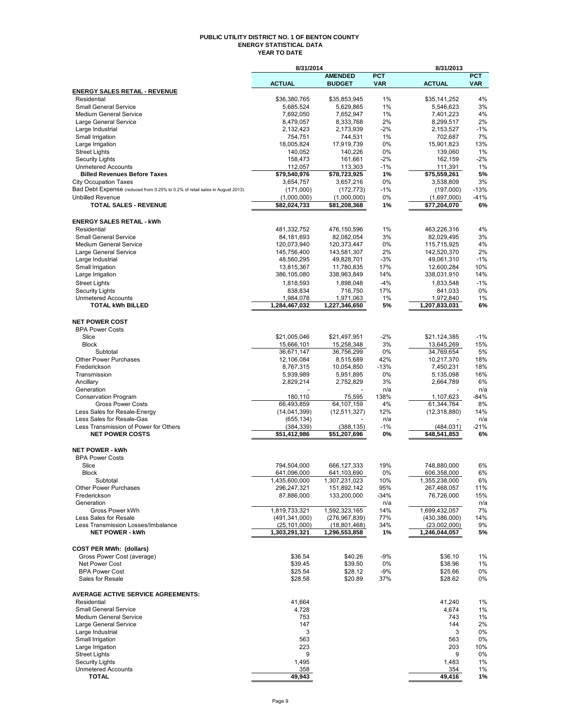#### **PUBLIC UTILITY DISTRICT NO. 1 OF BENTON COUNTY ENERGY STATISTICAL DATA YEAR TO DATE**

|                                                                              | 8/31/2014                 |                            | 8/31/2013     |                          |             |  |
|------------------------------------------------------------------------------|---------------------------|----------------------------|---------------|--------------------------|-------------|--|
|                                                                              |                           | <b>AMENDED</b>             | <b>PCT</b>    |                          | <b>PCT</b>  |  |
| <b>ENERGY SALES RETAIL - REVENUE</b>                                         | <b>ACTUAL</b>             | <b>BUDGET</b>              | <b>VAR</b>    | <b>ACTUAL</b>            | <b>VAR</b>  |  |
| Residential                                                                  | \$36,380,765              | \$35,853,945               | 1%            | \$35,141,252             | 4%          |  |
| <b>Small General Service</b>                                                 | 5,685,524                 | 5,629,865                  | 1%            | 5,546,623                | 3%          |  |
| <b>Medium General Service</b>                                                | 7,692,050                 | 7,652,947                  | 1%            | 7,401,223                | 4%          |  |
| Large General Service                                                        | 8,479,057                 | 8,333,768                  | 2%            | 8,299,517                | 2%          |  |
| Large Industrial                                                             | 2,132,423                 | 2,173,939                  | $-2%$         | 2,153,527                | $-1%$       |  |
| Small Irrigation                                                             | 754,751                   | 744,531                    | 1%            | 702,687                  | 7%          |  |
| Large Irrigation                                                             | 18,005,824                | 17,919,739                 | 0%            | 15,901,823               | 13%         |  |
| <b>Street Lights</b>                                                         | 140,052                   | 140,226<br>161,661         | 0%<br>$-2%$   | 139,060<br>162,159       | 1%<br>$-2%$ |  |
| <b>Security Lights</b><br><b>Unmetered Accounts</b>                          | 158,473<br>112,057        | 113,303                    | $-1%$         | 111,391                  | 1%          |  |
| <b>Billed Revenues Before Taxes</b>                                          | \$79,540,976              | \$78,723,925               | 1%            | \$75,559,261             | 5%          |  |
| <b>City Occupation Taxes</b>                                                 | 3,654,757                 | 3,657,216                  | 0%            | 3,538,809                | 3%          |  |
| Bad Debt Expense (reduced from 0.25% to 0.2% of retail sales in August 2013) | (171,000)                 | (172, 773)                 | $-1%$         | (197,000)                | $-13%$      |  |
| <b>Unbilled Revenue</b>                                                      | (1,000,000)               | (1,000,000)                | 0%            | (1,697,000)              | $-41%$      |  |
| <b>TOTAL SALES - REVENUE</b>                                                 | \$82,024,733              | \$81,208,368               | 1%            | \$77,204,070             | 6%          |  |
|                                                                              |                           |                            |               |                          |             |  |
| <b>ENERGY SALES RETAIL - kWh</b>                                             |                           |                            |               |                          |             |  |
| Residential                                                                  | 481,332,752               | 476,150,596                | 1%            | 463,226,316              | 4%          |  |
| <b>Small General Service</b>                                                 | 84,181,693                | 82,082,054                 | 3%            | 82,029,495               | 3%          |  |
| <b>Medium General Service</b>                                                | 120,073,940               | 120,373,447                | 0%            | 115,715,925              | 4%          |  |
| Large General Service                                                        | 145,756,400<br>48.560.295 | 143,581,307                | 2%            | 142,520,370              | 2%<br>$-1%$ |  |
| Large Industrial<br>Small Irrigation                                         | 13,815,367                | 49,828,701<br>11,780,835   | $-3%$<br>17%  | 49,061,310<br>12,600,284 | 10%         |  |
| Large Irrigation                                                             | 386,105,080               | 338,963,849                | 14%           | 338,031,910              | 14%         |  |
| <b>Street Lights</b>                                                         | 1,818,593                 | 1,898,048                  | $-4%$         | 1,833,548                | $-1%$       |  |
| <b>Security Lights</b>                                                       | 838,834                   | 716.750                    | 17%           | 841,033                  | 0%          |  |
| <b>Unmetered Accounts</b>                                                    | 1,984,078                 | 1,971,063                  | 1%            | 1,972,840                | 1%          |  |
| <b>TOTAL kWh BILLED</b>                                                      | 1,284,467,032             | 1,227,346,650              | 5%            | 1,207,833,031            | 6%          |  |
|                                                                              |                           |                            |               |                          |             |  |
| <b>NET POWER COST</b>                                                        |                           |                            |               |                          |             |  |
| <b>BPA Power Costs</b>                                                       |                           |                            |               |                          |             |  |
| Slice                                                                        | \$21,005,046              | \$21,497,951               | $-2%$         | \$21,124,385             | $-1%$       |  |
| <b>Block</b>                                                                 | 15,666,101                | 15,258,348                 | 3%            | 13,645,269               | 15%         |  |
| Subtotal                                                                     | 36,671,147                | 36,756,299                 | 0%            | 34,769,654               | 5%          |  |
| Other Power Purchases<br>Frederickson                                        | 12,106,084                | 8,515,689                  | 42%<br>$-13%$ | 10,217,370               | 18%<br>18%  |  |
| Transmission                                                                 | 8,767,315<br>5,939,989    | 10,054,850<br>5,951,895    | 0%            | 7,450,231<br>5,135,098   | 16%         |  |
| Ancillary                                                                    | 2,829,214                 | 2,752,829                  | 3%            | 2,664,789                | 6%          |  |
| Generation                                                                   |                           |                            | n/a           |                          | n/a         |  |
| <b>Conservation Program</b>                                                  | 180,110                   | 75,595                     | 138%          | 1,107,623                | $-84%$      |  |
| <b>Gross Power Costs</b>                                                     | 66,493,859                | $\overline{64}$ , 107, 159 | 4%            | 61,344,764               | 8%          |  |
| Less Sales for Resale-Energy                                                 | (14,041,399)              | (12, 511, 327)             | 12%           | (12, 318, 880)           | 14%         |  |
| Less Sales for Resale-Gas                                                    | (655, 134)                |                            | n/a           |                          | n/a         |  |
| Less Transmission of Power for Others                                        | (384, 339)                | (388, 135)                 | $-1%$         | (484, 031)               | $-21%$      |  |
| <b>NET POWER COSTS</b>                                                       | \$51,412,986              | \$51,207,696               | 0%            | \$48,541,853             | 6%          |  |
| <b>NET POWER - kWh</b>                                                       |                           |                            |               |                          |             |  |
| <b>BPA Power Costs</b>                                                       |                           |                            |               |                          |             |  |
| Slice                                                                        | 794,504,000               | 666,127,333                | 19%           | 748,880,000              | 6%          |  |
| <b>Block</b>                                                                 | 641,096,000               | 641,103,690                | 0%            | 606,358,000              | 6%          |  |
| Subtotal                                                                     | 1,435,600,000             | 1,307,231,023              | 10%           | 1,355,238,000            | 6%          |  |
| <b>Other Power Purchases</b>                                                 | 296,247,321               | 151,892,142                | 95%           | 267,468,057              | 11%         |  |
| Frederickson                                                                 | 87,886,000                | 133,200,000                | $-34%$        | 76,726,000               | 15%         |  |
| Generation                                                                   |                           |                            | n/a           |                          | n/a         |  |
| Gross Power kWh                                                              | 1,819,733,321             | 1,592,323,165              | 14%           | 1,699,432,057            | 7%          |  |
| Less Sales for Resale                                                        | (491, 341, 000)           | (276, 967, 839)            | 77%           | (430, 386, 000)          | 14%         |  |
| Less Transmission Losses/Imbalance<br><b>NET POWER - kWh</b>                 | (25, 101, 000)            | (18, 801, 468)             | 34%           | (23,002,000)             | 9%          |  |
|                                                                              | 1,303,291,321             | 1,296,553,858              | 1%            | 1,246,044,057            | 5%          |  |
| <b>COST PER MWh: (dollars)</b>                                               |                           |                            |               |                          |             |  |
| Gross Power Cost (average)                                                   | \$36.54                   | \$40.26                    | $-9%$         | \$36.10                  | 1%          |  |
| Net Power Cost                                                               | \$39.45                   | \$39.50                    | 0%            | \$38.96                  | 1%          |  |
| <b>BPA Power Cost</b>                                                        | \$25.54                   | \$28.12                    | $-9%$         | \$25.66                  | 0%          |  |
| Sales for Resale                                                             | \$28.58                   | \$20.89                    | 37%           | \$28.62                  | 0%          |  |
|                                                                              |                           |                            |               |                          |             |  |
| <b>AVERAGE ACTIVE SERVICE AGREEMENTS:</b>                                    |                           |                            |               |                          |             |  |
| Residential                                                                  | 41,664                    |                            |               | 41,240                   | 1%          |  |
| <b>Small General Service</b>                                                 | 4,728                     |                            |               | 4,674                    | 1%          |  |
| <b>Medium General Service</b>                                                | 753                       |                            |               | 743                      | 1%          |  |
| Large General Service<br>Large Industrial                                    | 147<br>3                  |                            |               | 144<br>3                 | 2%<br>0%    |  |
| Small Irrigation                                                             | 563                       |                            |               | 563                      | 0%          |  |
| Large Irrigation                                                             | 223                       |                            |               | 203                      | 10%         |  |
| <b>Street Lights</b>                                                         | 9                         |                            |               | 9                        | 0%          |  |
| <b>Security Lights</b>                                                       | 1,495                     |                            |               | 1,483                    | $1\%$       |  |
| <b>Unmetered Accounts</b>                                                    | 358                       |                            |               | 354                      | 1%          |  |
| TOTAL                                                                        | 49,943                    |                            |               | 49,416                   | 1%          |  |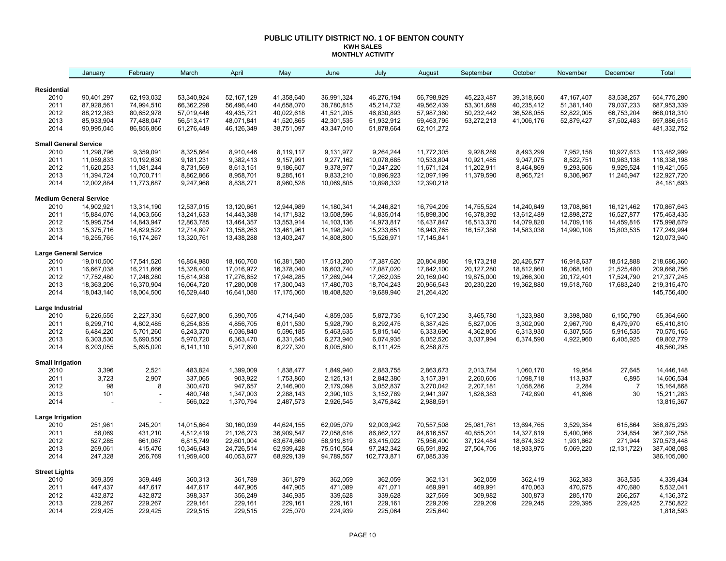#### **PUBLIC UTILITY DISTRICT NO. 1 OF BENTON COUNTY KWH SALES MONTHLY ACTIVITY**

|                               | January                | February               | March                  | April                  | May                    | June                   | July                   | August                 | September    | October    | November     | December       | Total                    |
|-------------------------------|------------------------|------------------------|------------------------|------------------------|------------------------|------------------------|------------------------|------------------------|--------------|------------|--------------|----------------|--------------------------|
| Residential                   |                        |                        |                        |                        |                        |                        |                        |                        |              |            |              |                |                          |
| 2010                          | 90,401,297             | 62,193,032             | 53,340,924             | 52,167,129             | 41,358,640             | 36.991.324             | 46,276,194             | 56,798,929             | 45,223,487   | 39,318,660 | 47, 167, 407 | 83,538,257     | 654,775,280              |
| 2011                          | 87,928,561             | 74,994,510             | 66,362,298             | 56,496,440             | 44,658,070             | 38,780,815             | 45,214,732             | 49,562,439             | 53,301,689   | 40,235,412 | 51,381,140   | 79,037,233     | 687,953,339              |
| 2012                          | 88,212,383             | 80,652,978             | 57,019,446             | 49,435,721             | 40,022,618             | 41,521,205             | 46,830,893             | 57,987,360             | 50,232,442   | 36,528,055 | 52,822,005   | 66,753,204     | 668,018,310              |
| 2013                          | 85,933,904             | 77,488,047             | 56,513,417             | 48,071,841             | 41,520,865             | 42,301,535             | 51,932,912             | 59,463,795             | 53,272,213   | 41,006,176 | 52,879,427   | 87,502,483     | 697,886,615              |
| 2014                          | 90,995,045             | 86,856,866             | 61,276,449             | 46,126,349             | 38,751,097             | 43,347,010             | 51,878,664             | 62,101,272             |              |            |              |                | 481,332,752              |
| <b>Small General Service</b>  |                        |                        |                        |                        |                        |                        |                        |                        |              |            |              |                |                          |
| 2010                          | 11,298,796             | 9,359,091              | 8,325,664              | 8,910,446              | 8,119,117              | 9,131,977              | 9,264,244              | 11,772,305             | 9,928,289    | 8,493,299  | 7,952,158    | 10,927,613     | 113,482,999              |
| 2011                          | 11,059,833             | 10,192,630             | 9,181,231              | 9,382,413              | 9,157,991              | 9,277,162              | 10,078,685             | 10,533,804             | 10,921,485   | 9,047,075  | 8,522,751    | 10,983,138     | 118,338,198              |
| 2012                          | 11,620,253             | 11,081,244             | 8,731,569              | 8,613,151              | 9,186,607              | 9,378,977              | 10,247,220             | 11,671,124             | 11,202,911   | 8,464,869  | 9,293,606    | 9,929,524      | 119,421,055              |
| 2013                          | 11,394,724             | 10,700,711             | 8,862,866              | 8,958,701              | 9,285,161              | 9,833,210              | 10,896,923             | 12,097,199             | 11,379,590   | 8,965,721  | 9,306,967    | 11,245,947     | 122,927,720              |
| 2014                          | 12,002,884             | 11,773,687             | 9,247,968              | 8,838,271              | 8,960,528              | 10,069,805             | 10,898,332             | 12,390,218             |              |            |              |                | 84, 181, 693             |
| <b>Medium General Service</b> |                        |                        |                        |                        |                        |                        |                        |                        |              |            |              |                |                          |
| 2010                          | 14,902,921             | 13,314,190             | 12,537,015             | 13,120,661             | 12,944,989             | 14,180,341             | 14,246,821             | 16,794,209             | 14,755,524   | 14,240,649 | 13,708,861   | 16,121,462     | 170,867,643              |
| 2011                          | 15,884,076             | 14,063,566             | 13,241,633             | 14,443,388             | 14, 171, 832           | 13,508,596             | 14,835,014             | 15,898,300             | 16,378,392   | 13,612,489 | 12,898,272   | 16,527,877     | 175,463,435              |
| 2012                          | 15,995,754             | 14,843,947             | 12,863,785             | 13,464,357             | 13,553,914             | 14,103,136             | 14,973,817             | 16,437,847             | 16,513,370   | 14,079,820 | 14,709,116   | 14,459,816     | 175,998,679              |
| 2013                          | 15,375,716             | 14,629,522             | 12,714,807             | 13,158,263             | 13,461,961             | 14,198,240             | 15,233,651             | 16,943,765             | 16, 157, 388 | 14,583,038 | 14,990,108   | 15,803,535     | 177,249,994              |
| 2014                          | 16,255,765             | 16,174,267             | 13,320,761             | 13,438,288             | 13,403,247             | 14,808,800             | 15,526,971             | 17,145,841             |              |            |              |                | 120,073,940              |
| <b>Large General Service</b>  |                        |                        |                        |                        |                        |                        |                        |                        |              |            |              |                |                          |
| 2010                          | 19,010,500             | 17,541,520             | 16,854,980             | 18,160,760             | 16,381,580             | 17,513,200             | 17,387,620             | 20,804,880             | 19,173,218   | 20,426,577 | 16,918,637   | 18,512,888     | 218,686,360              |
| 2011                          | 16,667,038             | 16,211,666             | 15,328,400             | 17,016,972             | 16,378,040             | 16,603,740             | 17,087,020             | 17,842,100             | 20,127,280   | 18,812,860 | 16,068,160   | 21,525,480     | 209,668,756              |
| 2012                          | 17,752,480             | 17,246,280             | 15,614,938             | 17,276,652             | 17,948,285             | 17,269,044             | 17,262,035             | 20,169,040             | 19,875,000   | 19,266,300 | 20,172,401   | 17,524,790     | 217, 377, 245            |
| 2013                          | 18,363,206             | 16,370,904             | 16,064,720             | 17,280,008             | 17,300,043             | 17,480,703             | 18,704,243             | 20,956,543             | 20,230,220   | 19,362,880 | 19,518,760   | 17,683,240     | 219,315,470              |
| 2014                          | 18,043,140             | 18,004,500             | 16,529,440             | 16,641,080             | 17,175,060             | 18,408,820             | 19,689,940             | 21,264,420             |              |            |              |                | 145,756,400              |
| Large Industrial              |                        |                        |                        |                        |                        |                        |                        |                        |              |            |              |                |                          |
| 2010                          | 6,226,555              | 2,227,330              | 5,627,800              | 5,390,705              | 4,714,640              | 4,859,035              | 5,872,735              | 6,107,230              | 3,465,780    | 1,323,980  | 3,398,080    | 6,150,790      | 55,364,660               |
| 2011                          | 6,299,710              | 4,802,485              | 6,254,835              | 4,856,705              | 6,011,530              | 5,928,790              | 6,292,475              | 6,387,425              | 5,827,005    | 3,302,090  | 2,967,790    | 6,479,970      | 65,410,810               |
| 2012<br>2013                  | 6,484,220              | 5,701,260              | 6,243,370              | 6,036,840              | 5,596,185              | 5,463,635              | 5,815,140              | 6,333,690              | 4,362,805    | 6,313,930  | 6,307,555    | 5,916,535      | 70,575,165<br>69,802,779 |
| 2014                          | 6,303,530<br>6,203,055 | 5,690,550<br>5,695,020 | 5,970,720<br>6,141,110 | 6,363,470<br>5,917,690 | 6,331,645<br>6,227,320 | 6,273,940<br>6,005,800 | 6,074,935<br>6,111,425 | 6,052,520<br>6,258,875 | 3,037,994    | 6,374,590  | 4,922,960    | 6,405,925      | 48,560,295               |
| <b>Small Irrigation</b>       |                        |                        |                        |                        |                        |                        |                        |                        |              |            |              |                |                          |
| 2010                          | 3,396                  | 2,521                  | 483,824                | 1,399,009              | 1,838,477              | 1,849,940              | 2,883,755              | 2,863,673              | 2,013,784    | 1,060,170  | 19,954       | 27,645         | 14,446,148               |
| 2011                          | 3,723                  | 2,907                  | 337,065                | 903,922                | 1,753,860              | 2,125,131              | 2,842,380              | 3,157,391              | 2,260,605    | 1,098,718  | 113,937      | 6,895          | 14,606,534               |
| 2012                          | 98                     | 8                      | 300,470                | 947,657                | 2,146,900              | 2,179,098              | 3,052,837              | 3,270,042              | 2,207,181    | 1,058,286  | 2,284        | $\overline{7}$ | 15,164,868               |
| 2013                          | 101                    |                        | 480,748                | 1,347,003              | 2,288,143              | 2,390,103              | 3,152,789              | 2,941,397              | 1,826,383    | 742,890    | 41,696       | 30             | 15,211,283               |
| 2014                          |                        |                        | 566,022                | 1,370,794              | 2,487,573              | 2,926,545              | 3,475,842              | 2,988,591              |              |            |              |                | 13,815,367               |
| <b>Large Irrigation</b>       |                        |                        |                        |                        |                        |                        |                        |                        |              |            |              |                |                          |
| 2010                          | 251,961                | 245,201                | 14,015,664             | 30,160,039             | 44,624,155             | 62,095,079             | 92,003,942             | 70,557,508             | 25,081,761   | 13,694,765 | 3,529,354    | 615,864        | 356,875,293              |
| 2011                          | 58,069                 | 431,210                | 4,512,419              | 21,126,273             | 36,909,547             | 72,058,616             | 86,862,127             | 84,616,557             | 40,855,201   | 14,327,819 | 5,400,066    | 234,854        | 367,392,758              |
| 2012                          | 527,285                | 661,067                | 6,815,749              | 22,601,004             | 63,674,660             | 58,919,819             | 83,415,022             | 75,956,400             | 37,124,484   | 18,674,352 | 1,931,662    | 271,944        | 370,573,448              |
| 2013                          | 259,061                | 415,476                | 10,346,643             | 24,726,514             | 62,939,428             | 75,510,554             | 97,242,342             | 66,591,892             | 27,504,705   | 18,933,975 | 5,069,220    | (2, 131, 722)  | 387,408,088              |
| 2014                          | 247,328                | 266,769                | 11,959,400             | 40,053,677             | 68,929,139             | 94,789,557             | 102,773,871            | 67,085,339             |              |            |              |                | 386,105,080              |
| <b>Street Lights</b>          |                        |                        |                        |                        |                        |                        |                        |                        |              |            |              |                |                          |
| 2010                          | 359,359                | 359,449                | 360,313                | 361,789                | 361,879                | 362,059                | 362,059                | 362,131                | 362,059      | 362,419    | 362,383      | 363,535        | 4,339,434                |
| 2011                          | 447,437                | 447,617                | 447,617                | 447,905                | 447,905                | 471,089                | 471,071                | 469,991                | 469,991      | 470,063    | 470,675      | 470,680        | 5,532,041                |
| 2012                          | 432,872                | 432,872                | 398,337                | 356,249                | 346,935                | 339,628                | 339,628                | 327,569                | 309,982      | 300,873    | 285,170      | 266,257        | 4,136,372                |
| 2013                          | 229,267                | 229,267                | 229,161                | 229,161                | 229,161                | 229,161                | 229,161                | 229,209                | 229,209      | 229,245    | 229,395      | 229,425        | 2,750,822                |
| 2014                          | 229,425                | 229,425                | 229,515                | 229,515                | 225,070                | 224,939                | 225,064                | 225,640                |              |            |              |                | 1,818,593                |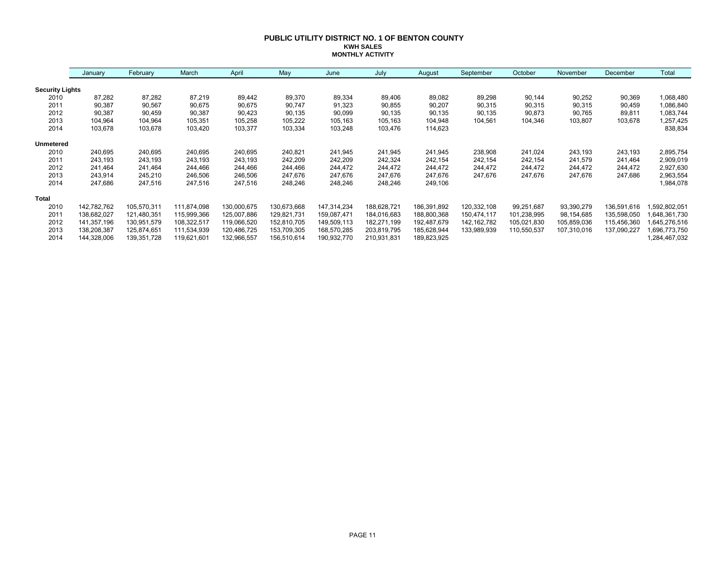#### **PUBLIC UTILITY DISTRICT NO. 1 OF BENTON COUNTY KWH SALES MONTHLY ACTIVITY**

|                        | January     | February    | March       | April       | May         | June        | July        | August      | September     | October     | November    | December    | Total        |
|------------------------|-------------|-------------|-------------|-------------|-------------|-------------|-------------|-------------|---------------|-------------|-------------|-------------|--------------|
| <b>Security Lights</b> |             |             |             |             |             |             |             |             |               |             |             |             |              |
| 2010                   | 87,282      | 87,282      | 87,219      | 89,442      | 89,370      | 89,334      | 89,406      | 89,082      | 89,298        | 90,144      | 90,252      | 90,369      | 1,068,480    |
| 2011                   | 90,387      | 90,567      | 90,675      | 90,675      | 90,747      | 91,323      | 90,855      | 90,207      | 90,315        | 90,315      | 90,315      | 90,459      | 1,086,840    |
| 2012                   | 90,387      | 90,459      | 90,387      | 90,423      | 90,135      | 90,099      | 90,135      | 90,135      | 90,135        | 90,873      | 90,765      | 89,811      | 1,083,744    |
| 2013                   | 104,964     | 104,964     | 105,351     | 105,258     | 105,222     | 105,163     | 105,163     | 104,948     | 104,561       | 104,346     | 103,807     | 103,678     | 1,257,425    |
| 2014                   | 103,678     | 103,678     | 103,420     | 103,377     | 103,334     | 103,248     | 103,476     | 114,623     |               |             |             |             | 838,834      |
| <b>Unmetered</b>       |             |             |             |             |             |             |             |             |               |             |             |             |              |
| 2010                   | 240,695     | 240,695     | 240,695     | 240,695     | 240,821     | 241,945     | 241,945     | 241,945     | 238,908       | 241,024     | 243,193     | 243,193     | 2,895,754    |
| 2011                   | 243,193     | 243,193     | 243,193     | 243,193     | 242,209     | 242,209     | 242,324     | 242,154     | 242,154       | 242,154     | 241,579     | 241,464     | 2,909,019    |
| 2012                   | 241,464     | 241,464     | 244,466     | 244,466     | 244,466     | 244,472     | 244,472     | 244,472     | 244,472       | 244,472     | 244,472     | 244,472     | 2,927,630    |
| 2013                   | 243,914     | 245,210     | 246,506     | 246,506     | 247,676     | 247,676     | 247,676     | 247,676     | 247,676       | 247,676     | 247,676     | 247,686     | 2,963,554    |
| 2014                   | 247,686     | 247,516     | 247,516     | 247,516     | 248,246     | 248,246     | 248,246     | 249,106     |               |             |             |             | 1,984,078    |
| <b>Total</b>           |             |             |             |             |             |             |             |             |               |             |             |             |              |
| 2010                   | 142,782,762 | 105,570,311 | 111,874,098 | 130,000,675 | 130,673,668 | 147,314,234 | 188,628,721 | 186,391,892 | 120,332,108   | 99,251,687  | 93,390,279  | 136,591,616 | ,592,802,051 |
| 2011                   | 138,682,027 | 121,480,351 | 115,999,366 | 125,007,886 | 129,821,731 | 159,087,471 | 184,016,683 | 188,800,368 | 150,474,117   | 101,238,995 | 98,154,685  | 135,598,050 | 648,361,730  |
| 2012                   | 141,357,196 | 130,951,579 | 108,322,517 | 119,066,520 | 152,810,705 | 149,509,113 | 182,271,199 | 192,487,679 | 142, 162, 782 | 105,021,830 | 105,859,036 | 115,456,360 | 645,276,516  |
| 2013                   | 138,208,387 | 125,874,651 | 111,534,939 | 120,486,725 | 153,709,305 | 168,570,285 | 203,819,795 | 185,628,944 | 133,989,939   | 110,550,537 | 107,310,016 | 137,090,227 | 696,773,750  |
| 2014                   | 144,328,006 | 139,351,728 | 119,621,601 | 132,966,557 | 156,510,614 | 190,932,770 | 210,931,831 | 189,823,925 |               |             |             |             | .284,467,032 |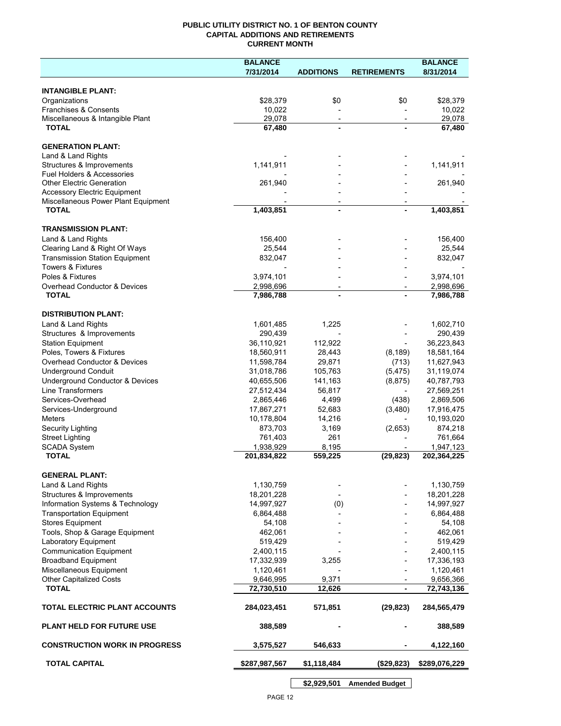## **PUBLIC UTILITY DISTRICT NO. 1 OF BENTON COUNTY CAPITAL ADDITIONS AND RETIREMENTS CURRENT MONTH**

|                                                         | <b>BALANCE</b>           |                          |                          | <b>BALANCE</b>           |
|---------------------------------------------------------|--------------------------|--------------------------|--------------------------|--------------------------|
|                                                         | 7/31/2014                | <b>ADDITIONS</b>         | <b>RETIREMENTS</b>       | 8/31/2014                |
|                                                         |                          |                          |                          |                          |
| <b>INTANGIBLE PLANT:</b><br>Organizations               | \$28,379                 | \$0                      | \$0                      | \$28,379                 |
| <b>Franchises &amp; Consents</b>                        | 10,022                   |                          |                          | 10,022                   |
| Miscellaneous & Intangible Plant                        | 29,078                   | $\overline{\phantom{a}}$ | $\overline{\phantom{a}}$ | 29,078                   |
| <b>TOTAL</b>                                            | 67,480                   |                          |                          | 67,480                   |
|                                                         |                          |                          |                          |                          |
| <b>GENERATION PLANT:</b>                                |                          |                          |                          |                          |
| Land & Land Rights                                      |                          |                          |                          |                          |
| Structures & Improvements<br>Fuel Holders & Accessories | 1,141,911                |                          |                          | 1,141,911                |
| <b>Other Electric Generation</b>                        | 261,940                  |                          |                          | 261,940                  |
| <b>Accessory Electric Equipment</b>                     |                          |                          |                          |                          |
| Miscellaneous Power Plant Equipment                     |                          |                          |                          |                          |
| <b>TOTAL</b>                                            | 1,403,851                | $\blacksquare$           |                          | 1,403,851                |
|                                                         |                          |                          |                          |                          |
| <b>TRANSMISSION PLANT:</b>                              |                          |                          |                          |                          |
| Land & Land Rights<br>Clearing Land & Right Of Ways     | 156,400<br>25,544        |                          |                          | 156,400<br>25,544        |
| <b>Transmission Station Equipment</b>                   | 832,047                  |                          |                          | 832,047                  |
| <b>Towers &amp; Fixtures</b>                            |                          |                          |                          |                          |
| Poles & Fixtures                                        | 3,974,101                |                          |                          | 3,974,101                |
| Overhead Conductor & Devices                            | 2,998,696                | $\overline{\phantom{a}}$ |                          | 2,998,696                |
| <b>TOTAL</b>                                            | 7,986,788                |                          |                          | 7,986,788                |
|                                                         |                          |                          |                          |                          |
| <b>DISTRIBUTION PLANT:</b>                              |                          |                          |                          |                          |
| Land & Land Rights                                      | 1,601,485                | 1,225                    |                          | 1,602,710                |
| Structures & Improvements                               | 290,439                  |                          |                          | 290,439                  |
| <b>Station Equipment</b><br>Poles, Towers & Fixtures    | 36,110,921               | 112,922                  |                          | 36,223,843               |
| Overhead Conductor & Devices                            | 18,560,911<br>11,598,784 | 28,443<br>29,871         | (8, 189)<br>(713)        | 18,581,164<br>11,627,943 |
| <b>Underground Conduit</b>                              | 31,018,786               | 105,763                  | (5, 475)                 | 31,119,074               |
| Underground Conductor & Devices                         | 40,655,506               | 141,163                  | (8, 875)                 | 40,787,793               |
| Line Transformers                                       | 27,512,434               | 56,817                   |                          | 27,569,251               |
| Services-Overhead                                       | 2,865,446                | 4,499                    | (438)                    | 2,869,506                |
| Services-Underground                                    | 17,867,271               | 52,683                   | (3,480)                  | 17,916,475               |
| <b>Meters</b>                                           | 10,178,804               | 14,216                   |                          | 10,193,020               |
| Security Lighting                                       | 873,703                  | 3,169                    | (2,653)                  | 874,218                  |
| <b>Street Lighting</b>                                  | 761,403                  | 261                      |                          | 761,664                  |
| <b>SCADA System</b>                                     | 1,938,929                | 8,195                    |                          | 1,947,123                |
| <b>TOTAL</b>                                            | 201,834,822              | 559,225                  | (29, 823)                | 202,364,225              |
| <b>GENERAL PLANT:</b>                                   |                          |                          |                          |                          |
| Land & Land Rights                                      | 1,130,759                |                          |                          | 1,130,759                |
| Structures & Improvements                               | 18,201,228               |                          |                          | 18,201,228               |
| Information Systems & Technology                        | 14,997,927               | (0)                      |                          | 14,997,927               |
| <b>Transportation Equipment</b>                         | 6,864,488                |                          |                          | 6,864,488                |
| <b>Stores Equipment</b>                                 | 54,108                   |                          |                          | 54,108                   |
| Tools, Shop & Garage Equipment                          | 462,061                  |                          |                          | 462,061                  |
| Laboratory Equipment                                    | 519,429                  |                          |                          | 519,429                  |
| <b>Communication Equipment</b>                          | 2,400,115                |                          |                          | 2,400,115                |
| <b>Broadband Equipment</b>                              | 17,332,939               | 3,255                    |                          | 17,336,193               |
| Miscellaneous Equipment                                 | 1,120,461                |                          |                          | 1,120,461                |
| <b>Other Capitalized Costs</b>                          | 9,646,995                | 9,371                    |                          | 9,656,366                |
| <b>TOTAL</b>                                            | 72,730,510               | 12,626                   | $\blacksquare$           | 72,743,136               |
| TOTAL ELECTRIC PLANT ACCOUNTS                           | 284,023,451              | 571,851                  | (29, 823)                | 284,565,479              |
| <b>PLANT HELD FOR FUTURE USE</b>                        | 388,589                  |                          |                          | 388,589                  |
| <b>CONSTRUCTION WORK IN PROGRESS</b>                    | 3,575,527                | 546,633                  |                          | 4,122,160                |
| <b>TOTAL CAPITAL</b>                                    | \$287,987,567            | \$1,118,484              | (\$29,823)               | \$289,076,229            |
|                                                         |                          |                          |                          |                          |

**\$2,929,501 Amended Budget**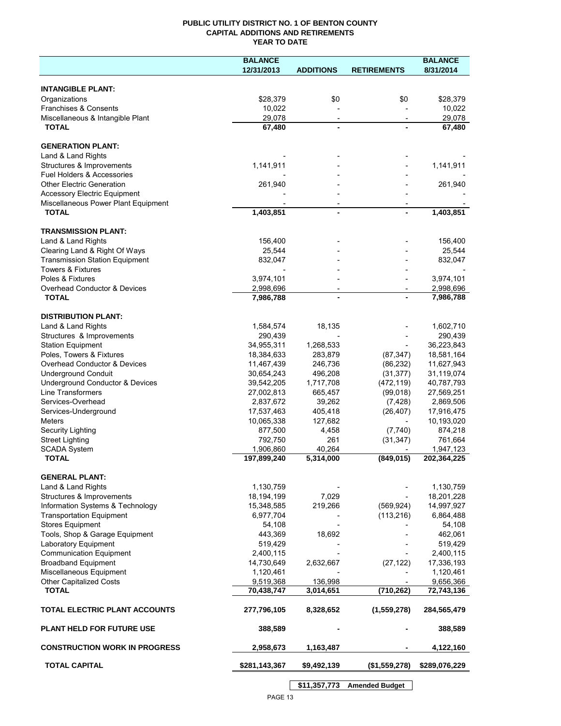## **PUBLIC UTILITY DISTRICT NO. 1 OF BENTON COUNTY CAPITAL ADDITIONS AND RETIREMENTS YEAR TO DATE**

|                                                  | <b>BALANCE</b>       |                          |                          | <b>BALANCE</b>       |
|--------------------------------------------------|----------------------|--------------------------|--------------------------|----------------------|
|                                                  | 12/31/2013           | <b>ADDITIONS</b>         | <b>RETIREMENTS</b>       | 8/31/2014            |
|                                                  |                      |                          |                          |                      |
| <b>INTANGIBLE PLANT:</b>                         |                      |                          |                          |                      |
| Organizations                                    | \$28,379<br>10,022   | \$0                      | \$0                      | \$28,379             |
| Franchises & Consents                            |                      |                          |                          | 10,022<br>29.078     |
| Miscellaneous & Intangible Plant<br><b>TOTAL</b> | 29,078<br>67,480     | $\overline{\phantom{a}}$ |                          | 67,480               |
|                                                  |                      |                          |                          |                      |
| <b>GENERATION PLANT:</b>                         |                      |                          |                          |                      |
| Land & Land Rights                               |                      |                          |                          |                      |
| Structures & Improvements                        | 1,141,911            |                          |                          | 1,141,911            |
| Fuel Holders & Accessories                       |                      |                          |                          |                      |
| <b>Other Electric Generation</b>                 | 261,940              |                          |                          | 261,940              |
| <b>Accessory Electric Equipment</b>              |                      |                          |                          |                      |
| Miscellaneous Power Plant Equipment              |                      |                          |                          |                      |
| <b>TOTAL</b>                                     | 1,403,851            | $\overline{a}$           |                          | 1,403,851            |
| <b>TRANSMISSION PLANT:</b>                       |                      |                          |                          |                      |
| Land & Land Rights                               | 156,400              |                          |                          | 156,400              |
| Clearing Land & Right Of Ways                    | 25,544               |                          |                          | 25,544               |
| <b>Transmission Station Equipment</b>            | 832,047              |                          |                          | 832,047              |
| <b>Towers &amp; Fixtures</b>                     |                      |                          |                          |                      |
| Poles & Fixtures                                 | 3,974,101            |                          |                          | 3,974,101            |
| Overhead Conductor & Devices                     | 2,998,696            | $\overline{\phantom{a}}$ | $\overline{\phantom{m}}$ | 2,998,696            |
| <b>TOTAL</b>                                     | 7,986,788            |                          |                          | 7,986,788            |
|                                                  |                      |                          |                          |                      |
| <b>DISTRIBUTION PLANT:</b>                       |                      |                          |                          |                      |
| Land & Land Rights                               | 1,584,574            | 18,135                   |                          | 1,602,710            |
| Structures & Improvements                        | 290,439              |                          |                          | 290,439              |
| <b>Station Equipment</b>                         | 34,955,311           | 1,268,533                |                          | 36,223,843           |
| Poles, Towers & Fixtures                         | 18,384,633           | 283,879                  | (87, 347)                | 18,581,164           |
| Overhead Conductor & Devices                     | 11,467,439           | 246,736                  | (86, 232)                | 11,627,943           |
| <b>Underground Conduit</b>                       | 30,654,243           | 496,208                  | (31, 377)                | 31,119,074           |
| Underground Conductor & Devices                  | 39,542,205           | 1,717,708                | (472, 119)               | 40,787,793           |
| Line Transformers                                | 27,002,813           | 665,457                  | (99,018)                 | 27,569,251           |
| Services-Overhead                                | 2,837,672            | 39,262                   | (7, 428)                 | 2,869,506            |
| Services-Underground                             | 17,537,463           | 405,418                  | (26, 407)                | 17,916,475           |
| <b>Meters</b>                                    | 10,065,338           | 127,682                  |                          | 10,193,020           |
| Security Lighting                                | 877,500              | 4,458                    | (7, 740)                 | 874,218              |
| <b>Street Lighting</b><br><b>SCADA System</b>    | 792,750<br>1,906,860 | 261<br>40,264            | (31, 347)                | 761,664<br>1,947,123 |
| <b>TOTAL</b>                                     | 197,899,240          | 5,314,000                | (849, 015)               | 202,364,225          |
|                                                  |                      |                          |                          |                      |
| <b>GENERAL PLANT:</b>                            |                      |                          |                          |                      |
| Land & Land Rights                               | 1,130,759            |                          |                          | 1,130,759            |
| Structures & Improvements                        | 18,194,199           | 7,029                    |                          | 18,201,228           |
| Information Systems & Technology                 | 15,348,585           | 219,266                  | (569, 924)               | 14,997,927           |
| <b>Transportation Equipment</b>                  | 6,977,704            |                          | (113, 216)               | 6,864,488            |
| <b>Stores Equipment</b>                          | 54,108               |                          |                          | 54,108               |
| Tools, Shop & Garage Equipment                   | 443,369              | 18,692                   |                          | 462,061              |
| <b>Laboratory Equipment</b>                      | 519,429              |                          |                          | 519,429              |
| <b>Communication Equipment</b>                   | 2,400,115            |                          |                          | 2,400,115            |
| <b>Broadband Equipment</b>                       | 14,730,649           | 2,632,667                | (27, 122)                | 17,336,193           |
| Miscellaneous Equipment                          | 1,120,461            |                          |                          | 1,120,461            |
| <b>Other Capitalized Costs</b>                   | 9,519,368            | 136,998                  |                          | 9,656,366            |
| <b>TOTAL</b>                                     | 70,438,747           | 3,014,651                | (710, 262)               | 72,743,136           |
| TOTAL ELECTRIC PLANT ACCOUNTS                    | 277,796,105          | 8,328,652                | (1,559,278)              | 284,565,479          |
| <b>PLANT HELD FOR FUTURE USE</b>                 | 388,589              |                          |                          | 388,589              |
| <b>CONSTRUCTION WORK IN PROGRESS</b>             | 2,958,673            | 1,163,487                |                          | 4,122,160            |
| <b>TOTAL CAPITAL</b>                             | \$281,143,367        | \$9,492,139              | (\$1,559,278)            | \$289,076,229        |
|                                                  |                      |                          |                          |                      |

**\$11,357,773 Amended Budget**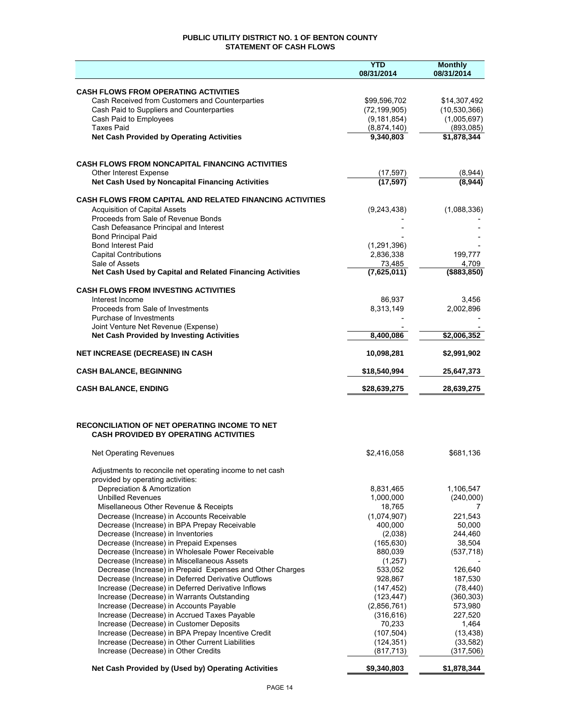## **PUBLIC UTILITY DISTRICT NO. 1 OF BENTON COUNTY STATEMENT OF CASH FLOWS**

|                                                                                               | <b>YTD</b><br>08/31/2014     | <b>Monthly</b><br>08/31/2014 |
|-----------------------------------------------------------------------------------------------|------------------------------|------------------------------|
|                                                                                               |                              |                              |
| <b>CASH FLOWS FROM OPERATING ACTIVITIES</b>                                                   |                              |                              |
| Cash Received from Customers and Counterparties                                               | \$99,596,702                 | \$14,307,492                 |
| Cash Paid to Suppliers and Counterparties                                                     | (72, 199, 905)               | (10, 530, 366)               |
| Cash Paid to Employees<br><b>Taxes Paid</b>                                                   | (9, 181, 854)<br>(8,874,140) | (1,005,697)<br>(893,085)     |
| <b>Net Cash Provided by Operating Activities</b>                                              | 9,340,803                    | \$1,878,344                  |
|                                                                                               |                              |                              |
|                                                                                               |                              |                              |
| <b>CASH FLOWS FROM NONCAPITAL FINANCING ACTIVITIES</b>                                        |                              |                              |
| Other Interest Expense<br>Net Cash Used by Noncapital Financing Activities                    | (17, 597)<br>(17, 597)       | (8,944)<br>(8,944)           |
|                                                                                               |                              |                              |
| <b>CASH FLOWS FROM CAPITAL AND RELATED FINANCING ACTIVITIES</b>                               |                              |                              |
| <b>Acquisition of Capital Assets</b>                                                          | (9,243,438)                  | (1,088,336)                  |
| Proceeds from Sale of Revenue Bonds<br>Cash Defeasance Principal and Interest                 |                              |                              |
| <b>Bond Principal Paid</b>                                                                    |                              |                              |
| <b>Bond Interest Paid</b>                                                                     | (1, 291, 396)                |                              |
| <b>Capital Contributions</b>                                                                  | 2,836,338                    | 199,777                      |
| Sale of Assets                                                                                | 73,485                       | 4,709                        |
| Net Cash Used by Capital and Related Financing Activities                                     | (7,625,011)                  | ( \$883, 850)                |
| <b>CASH FLOWS FROM INVESTING ACTIVITIES</b>                                                   |                              |                              |
| Interest Income                                                                               | 86,937                       | 3,456                        |
| Proceeds from Sale of Investments                                                             | 8,313,149                    | 2,002,896                    |
| Purchase of Investments                                                                       |                              |                              |
| Joint Venture Net Revenue (Expense)<br><b>Net Cash Provided by Investing Activities</b>       | 8,400,086                    | \$2,006,352                  |
| <b>NET INCREASE (DECREASE) IN CASH</b>                                                        | 10,098,281                   | \$2,991,902                  |
|                                                                                               |                              |                              |
| <b>CASH BALANCE, BEGINNING</b>                                                                | \$18,540,994                 | 25,647,373                   |
| <b>CASH BALANCE, ENDING</b>                                                                   | \$28,639,275                 | 28,639,275                   |
|                                                                                               |                              |                              |
|                                                                                               |                              |                              |
| RECONCILIATION OF NET OPERATING INCOME TO NET<br><b>CASH PROVIDED BY OPERATING ACTIVITIES</b> |                              |                              |
|                                                                                               |                              |                              |
| Net Operating Revenues                                                                        | \$2,416,058                  | \$681,136                    |
| Adjustments to reconcile net operating income to net cash                                     |                              |                              |
| provided by operating activities:                                                             |                              |                              |
| Depreciation & Amortization                                                                   | 8,831,465                    | 1,106,547                    |
| <b>Unbilled Revenues</b>                                                                      | 1,000,000                    | (240,000)                    |
| Misellaneous Other Revenue & Receipts<br>Decrease (Increase) in Accounts Receivable           | 18,765<br>(1,074,907)        | 7<br>221,543                 |
| Decrease (Increase) in BPA Prepay Receivable                                                  | 400,000                      | 50,000                       |
| Decrease (Increase) in Inventories                                                            | (2,038)                      | 244,460                      |
| Decrease (Increase) in Prepaid Expenses                                                       | (165, 630)                   | 38,504                       |
| Decrease (Increase) in Wholesale Power Receivable                                             | 880,039                      | (537, 718)                   |
| Decrease (Increase) in Miscellaneous Assets                                                   | (1,257)                      |                              |
| Decrease (Increase) in Prepaid Expenses and Other Charges                                     | 533,052                      | 126,640                      |
| Decrease (Increase) in Deferred Derivative Outflows                                           | 928,867                      | 187,530                      |
| Increase (Decrease) in Deferred Derivative Inflows                                            | (147, 452)<br>(123, 447)     | (78, 440)<br>(360, 303)      |
| Increase (Decrease) in Warrants Outstanding<br>Increase (Decrease) in Accounts Payable        | (2,856,761)                  | 573,980                      |
| Increase (Decrease) in Accrued Taxes Payable                                                  | (316, 616)                   | 227,520                      |
| Increase (Decrease) in Customer Deposits                                                      | 70,233                       | 1,464                        |
| Increase (Decrease) in BPA Prepay Incentive Credit                                            | (107, 504)                   | (13, 438)                    |
| Increase (Decrease) in Other Current Liabilities                                              | (124, 351)                   | (33, 582)                    |
| Increase (Decrease) in Other Credits                                                          | (817, 713)                   | (317, 506)                   |
| Net Cash Provided by (Used by) Operating Activities                                           | \$9,340,803                  | \$1,878,344                  |
|                                                                                               |                              |                              |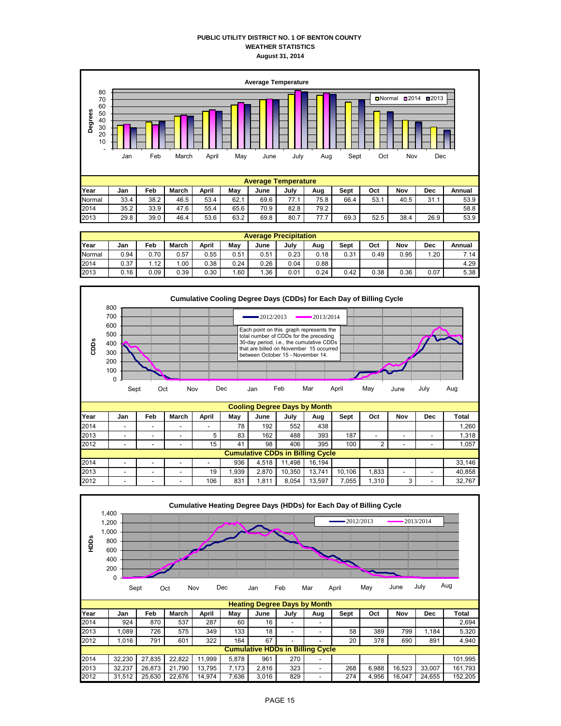#### **PUBLIC UTILITY DISTRICT NO. 1 OF BENTON COUNTY WEATHER STATISTICS August 31, 2014**



| <b>Average Precipitation</b> |      |      |          |       |      |      |      |      |      |      |      |      |        |
|------------------------------|------|------|----------|-------|------|------|------|------|------|------|------|------|--------|
| Year                         | Jan  | Feb  | March    | April | May  | June | July | Aug  | Sept | Oct  | Nov  | Dec  | Annual |
| Normal                       | 0.94 | 0.70 | 0.57     | 0.55  | 0.51 | 0.51 | 0.23 | 0.18 | 0.31 | 0.49 | 0.95 | .20  | 7.14   |
| 2014                         | 0.37 | 1.12 | $.00 \,$ | 0.38  | 0.24 | 0.26 | 0.04 | 0.88 |      |      |      |      | 4.29   |
| 2013                         | 0.16 | 0.09 | 0.39     | 0.30  | 1.60 | .36  | 0.01 | 0.24 | 0.42 | 0.38 | 0.36 | 0.07 | 5.38   |



2013 | - | - | - | 19| 1,939| 2,870|10,350|13,741|10,106| 1,833| - | - | 40,858

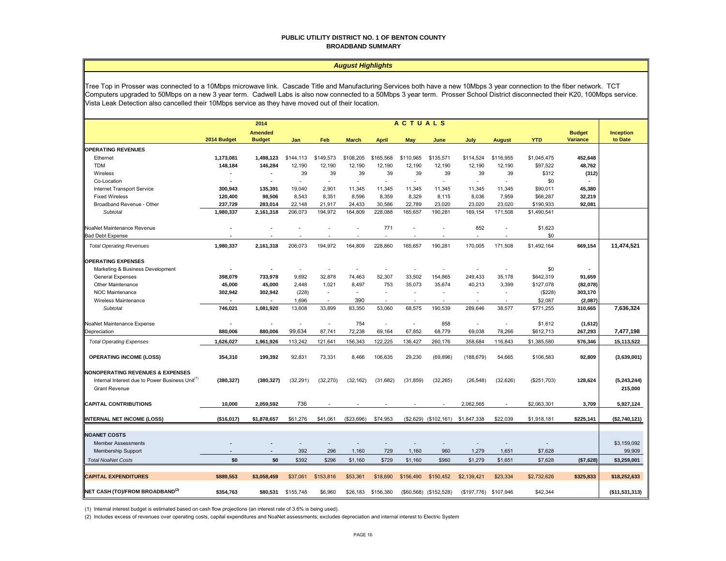#### **PUBLIC UTILITY DISTRICT NO. 1 OF BENTON COUNTY BROADBAND SUMMARY**

#### *August Highlights*

Tree Top in Prosser was connected to a 10Mbps microwave link. Cascade Title and Manufacturing Services both have a new 10Mbps 3 year connection to the fiber network. TCT Computers upgraded to 50Mbps on a new 3 year term. Cadwell Labs is also now connected to a 50Mbps 3 year term. Prosser School District disconnected their K20, 100Mbps service. Vista Leak Detection also cancelled their 10Mbps service as they have moved out of their location.

|                                                                                                                                    | <b>ACTUALS</b><br>2014   |                                 |           |                          |                          |                          |                          |                         |                          |                          |             |                                  |                        |
|------------------------------------------------------------------------------------------------------------------------------------|--------------------------|---------------------------------|-----------|--------------------------|--------------------------|--------------------------|--------------------------|-------------------------|--------------------------|--------------------------|-------------|----------------------------------|------------------------|
|                                                                                                                                    | 2014 Budget              | <b>Amended</b><br><b>Budget</b> | Jan       | Feb                      | <b>March</b>             | <b>April</b>             | May                      | June                    | July                     | <b>August</b>            | <b>YTD</b>  | <b>Budget</b><br><b>Variance</b> | Inception<br>to Date   |
| <b>OPERATING REVENUES</b>                                                                                                          |                          |                                 |           |                          |                          |                          |                          |                         |                          |                          |             |                                  |                        |
| Ethernet                                                                                                                           | 1,173,081                | 1,498,123                       | \$144,113 | \$149,573                | \$108,205                | \$165,568                | \$110,965                | \$135,571               | \$114,524                | \$116,955                | \$1,045,475 | 452,648                          |                        |
| <b>TDM</b>                                                                                                                         | 148,184                  | 146,284                         | 12,190    | 12,190                   | 12,190                   | 12,190                   | 12,190                   | 12,190                  | 12,190                   | 12,190                   | \$97,522    | 48,762                           |                        |
| Wireless                                                                                                                           |                          | $\overline{\phantom{a}}$        | 39        | 39                       | 39                       | 39                       | 39                       | 39                      | 39                       | 39                       | \$312       | (312)                            |                        |
| Co-Location                                                                                                                        | $\overline{\phantom{a}}$ | $\overline{\phantom{a}}$        | $\sim$    | $\sim$                   | $\overline{\phantom{a}}$ | ×.                       | $\overline{\phantom{a}}$ | $\sim$                  | $\sim$                   | $\sim$                   | \$0         |                                  |                        |
| Internet Transport Service                                                                                                         | 300,943                  | 135,391                         | 19,040    | 2,901                    | 11,345                   | 11,345                   | 11,345                   | 11,345                  | 11,345                   | 11,345                   | \$90,011    | 45,380                           |                        |
| <b>Fixed Wireless</b>                                                                                                              | 120,400                  | 98,506                          | 8,543     | 8.351                    | 8.596                    | 8,359                    | 8,329                    | 8,115                   | 8,036                    | 7,959                    | \$66,287    | 32,219                           |                        |
| Broadband Revenue - Other                                                                                                          | 237,729                  | 283,014                         | 22,148    | 21,917                   | 24,433                   | 30,586                   | 22,789                   | 23,020                  | 23,020                   | 23,020                   | \$190,933   | 92,081                           |                        |
| Subtotal                                                                                                                           | 1,980,337                | 2,161,318                       | 206,073   | 194,972                  | 164,809                  | 228,088                  | 165,657                  | 190,281                 | 169,154                  | 171,508                  | \$1,490,541 |                                  |                        |
| NoaNet Maintenance Revenue                                                                                                         |                          |                                 |           |                          | $\overline{\phantom{a}}$ | 771                      | $\sim$                   |                         | 852                      | $\overline{\phantom{a}}$ | \$1,623     |                                  |                        |
| <b>Bad Debt Expense</b>                                                                                                            |                          |                                 |           |                          |                          |                          |                          |                         |                          | ٠                        | \$0         |                                  |                        |
| <b>Total Operating Revenues</b>                                                                                                    | 1,980,337                | 2,161,318                       | 206,073   | 194,972                  | 164,809                  | 228,860                  | 165,657                  | 190,281                 | 170,005                  | 171,508                  | \$1,492,164 | 669,154                          | 11,474,521             |
| <b>OPERATING EXPENSES</b>                                                                                                          |                          |                                 |           |                          |                          |                          |                          |                         |                          |                          |             |                                  |                        |
| Marketing & Business Development                                                                                                   |                          |                                 |           |                          | ÷,                       | ä,                       |                          |                         |                          |                          | \$0         |                                  |                        |
| General Expenses                                                                                                                   | 398,079                  | 733,978                         | 9,692     | 32,878                   | 74,463                   | 52,307                   | 33,502                   | 154,865                 | 249,433                  | 35,178                   | \$642,319   | 91,659                           |                        |
| Other Maintenance                                                                                                                  | 45,000                   | 45,000                          | 2,448     | 1,021                    | 8,497                    | 753                      | 35,073                   | 35,674                  | 40,213                   | 3,399                    | \$127,078   | (82,078)                         |                        |
| <b>NOC Maintenance</b>                                                                                                             | 302,942                  | 302,942                         | (228)     | $\sim$                   | $\overline{\phantom{a}}$ | ٠                        | $\sim$                   |                         | $\overline{\phantom{a}}$ | $\overline{\phantom{a}}$ | (\$228)     | 303,170                          |                        |
| Wireless Maintenance                                                                                                               |                          | $\overline{\phantom{a}}$        | 1,696     | $\sim$                   | 390                      | $\overline{\phantom{a}}$ | $\sim$                   |                         |                          | $\overline{\phantom{a}}$ | \$2,087     | (2,087)                          |                        |
| <b>Subtotal</b>                                                                                                                    | 746,021                  | 1,081,920                       | 13,608    | 33,899                   | 83,350                   | 53,060                   | 68,575                   | 190,539                 | 289,646                  | 38,577                   | \$771,255   | 310,665                          | 7,636,324              |
| NoaNet Maintenance Expense                                                                                                         |                          |                                 |           |                          | 754                      | ä,                       | ÷.                       | 858                     |                          | $\overline{\phantom{a}}$ | \$1,612     | (1,612)                          |                        |
| Depreciation                                                                                                                       | 880,006                  | 880,006                         | 99,634    | 87,741                   | 72,238                   | 69,164                   | 67,852                   | 68,779                  | 69,038                   | 78,266                   | \$612,713   | 267,293                          | 7,477,198              |
| <b>Total Operating Expenses</b>                                                                                                    | 1,626,027                | 1,961,926                       | 113,242   | 121,641                  | 156,343                  | 122,225                  | 136,427                  | 260,176                 | 358,684                  | 116,843                  | \$1,385,580 | 576,346                          | 15,113,522             |
| <b>OPERATING INCOME (LOSS)</b>                                                                                                     | 354,310                  | 199,392                         | 92,831    | 73,331                   | 8.466                    | 106,635                  | 29,230                   | (69, 896)               | (188, 679)               | 54,665                   | \$106,583   | 92,809                           | (3,639,001)            |
| <b>NONOPERATING REVENUES &amp; EXPENSES</b><br>Internal Interest due to Power Business Unit <sup>(1)</sup><br><b>Grant Revenue</b> | (380, 327)               | (380, 327)                      | (32, 291) | (32, 270)                | (32, 162)                | (31, 682)                | (31, 859)                | (32, 265)               | (26, 548)                | (32, 626)                | (\$251,703) | 128,624                          | (5,243,244)<br>215,000 |
| <b>CAPITAL CONTRIBUTIONS</b>                                                                                                       | 10,000                   | 2,059,592                       | 736       |                          |                          |                          |                          |                         | 2,062,565                | $\sim$                   | \$2,063,301 | 3,709                            | 5,927,124              |
| <b>INTERNAL NET INCOME (LOSS)</b>                                                                                                  | (\$16,017)               | \$1,878,657                     | \$61,276  | \$41,061                 | (\$23,696)               | \$74,953                 |                          | $($2,629)$ $($102,161)$ | \$1,847,338              | \$22,039                 | \$1,918,181 | \$225,141                        | (\$2,740,121)          |
|                                                                                                                                    |                          |                                 |           |                          |                          |                          |                          |                         |                          |                          |             |                                  |                        |
| <b>NOANET COSTS</b><br><b>Member Assessments</b>                                                                                   |                          |                                 | ٠         | $\overline{\phantom{a}}$ |                          | $\overline{\phantom{a}}$ |                          |                         |                          |                          |             |                                  | \$3,159,092            |
| Membership Support                                                                                                                 |                          |                                 | 392       | 296                      | 1,160                    | 729                      | 1,160                    | 960                     | 1,279                    | 1,651                    | \$7,628     |                                  | 99,909                 |
| <b>Total NoaNet Costs</b>                                                                                                          | \$0                      | \$0                             | \$392     | \$296                    | \$1,160                  | \$729                    | \$1,160                  | \$960                   | \$1,279                  | \$1,651                  | \$7,628     | (\$7,628)                        | \$3,259,001            |
| <b>CAPITAL EXPENDITURES</b>                                                                                                        | \$889,553                | \$3,058,459                     | \$37,061  | \$153,816                | \$53,361                 | \$18,690                 | \$156,490                | \$150.452               | \$2,139,421              | \$23,334                 | \$2,732,626 | \$325,833                        | \$18,252,633           |
| NET CASH (TO)/FROM BROADBAND <sup>(2)</sup>                                                                                        | \$354,763                | \$80,531                        | \$155,748 | \$6,960                  | \$26,183                 | \$156,380                |                          | (\$60,568) (\$152,528)  | (\$197,776)              | \$107,946                | \$42,344    |                                  | (\$11,531,313)         |

(1) Internal interest budget is estimated based on cash flow projections (an interest rate of 3.6% is being used).

(2) Includes excess of revenues over operating costs, capital expenditures and NoaNet assessments; excludes depreciation and internal interest to Electric System